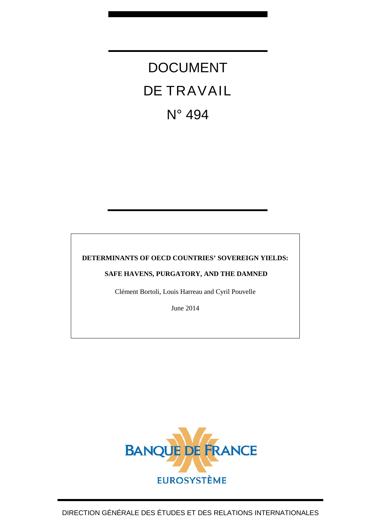# DOCUMENT DE TRAVAIL N° 494

## **DETERMINANTS OF OECD COUNTRIES' SOVEREIGN YIELDS:**

## **SAFE HAVENS, PURGATORY, AND THE DAMNED**

Clément Bortoli, Louis Harreau and Cyril Pouvelle

June 2014

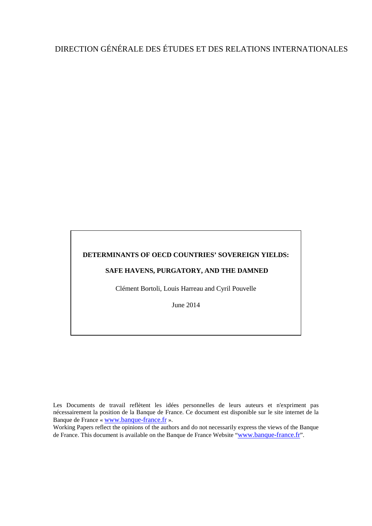## DIRECTION GÉNÉRALE DES ÉTUDES ET DES RELATIONS INTERNATIONALES

#### **DETERMINANTS OF OECD COUNTRIES' SOVEREIGN YIELDS:**

## **SAFE HAVENS, PURGATORY, AND THE DAMNED**

Clément Bortoli, Louis Harreau and Cyril Pouvelle

June 2014

Working Papers reflect the opinions of the authors and do not necessarily express the views of the Banque de France. This document is available on the Banque de France Website ["www.banque-france.fr"](http://www.banque-france.fr/).

Les Documents de travail reflètent les idées personnelles de leurs auteurs et n'expriment pas nécessairement la position de la Banque de France. Ce document est disponible sur le site internet de la Banque de France « [www.banque-france.fr](http://www.banque-france.fr/) ».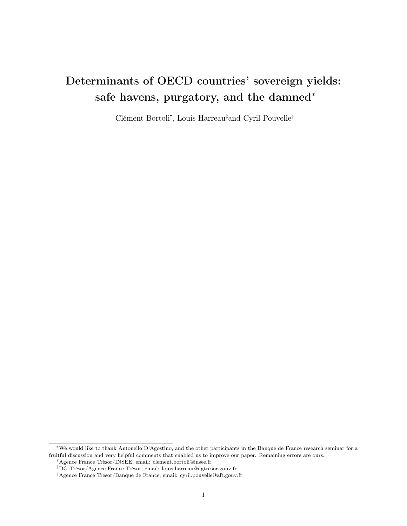## Determinants of OECD countries' sovereign yields: safe havens, purgatory, and the damned<sup>∗</sup>

Clément Bortoli† , Louis Harreau‡and Cyril Pouvelle§

<sup>∗</sup>We would like to thank Antonello D'Agostino, and the other participants in the Banque de France research seminar for a fruitful discussion and very helpful comments that enabled us to improve our paper. Remaining errors are ours. †Agence France Trésor/INSEE; email: clement.bortoli@insee.fr

<sup>‡</sup>DG Trésor/Agence France Trésor; email: louis.harreau@dgtresor.gouv.fr

<sup>§</sup>Agence France Trésor/Banque de France; email: cyril.pouvelle@aft.gouv.fr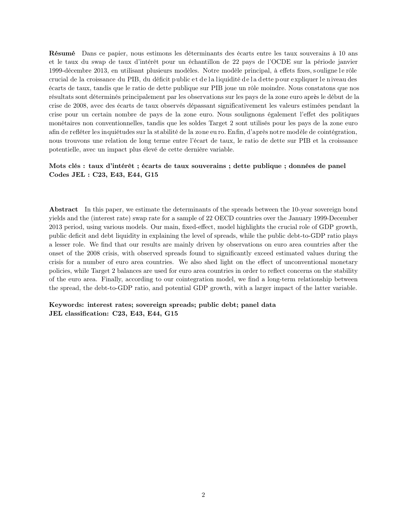Résumé Dans ce papier, nous estimons les déterminants des écarts entre les taux souverains à 10 ans et le taux du swap de taux d'intérêt pour un échantillon de 22 pays de l'OCDE sur la période janvier 1999-décembre 2013, en utilisant plusieurs modèles. Notre modèle principal, à effets fixes, s ouligne l e rôle crucial de la croissance du PIB, du déficit public et de la liquidité de la dette pour expliquer le niveau des écarts de taux, tandis que le ratio de dette publique sur PIB joue un rôle moindre. Nous constatons que nos résultats sont déterminés principalement par les observations sur les pays de la zone euro après le début de la crise de 2008, avec des écarts de taux observés dépassant significativement les valeurs estimées pendant la crise pour un certain nombre de pays de la zone euro. Nous soulignons également l'effet des politiques monétaires non conventionnelles, tandis que les soldes Target 2 sont utilisés pour les pays de la zone euro afin de refléter les inquiétudes sur la stabilité de la zone eu ro. Enfin, d'après notre modèle de cointégration, nous trouvons une relation de long terme entre l'écart de taux, le ratio de dette sur PIB et la croissance potentielle, avec un impact plus élevé de cette dernière variable.

#### Mots clés : taux d'intérêt ; écarts de taux souverains ; dette publique ; données de panel Codes JEL : C23, E43, E44, G15

Abstract In this paper, we estimate the determinants of the spreads between the 10-year sovereign bond yields and the (interest rate) swap rate for a sample of 22 OECD countries over the January 1999-December 2013 period, using various models. Our main, fixed-effect, model highlights the crucial role of GDP growth, public deficit and debt liquidity in explaining the level of spreads, while the public debt-to-GDP ratio plays a lesser role. We find that our results are mainly driven by observations on euro area countries after the onset of the 2008 crisis, with observed spreads found to significantly exceed estimated values during the crisis for a number of euro area countries. We also shed light on the effect of unconventional monetary policies, while Target 2 balances are used for euro area countries in order to reflect concerns on the stability of the euro area. Finally, according to our cointegration model, we find a long-term relationship between the spread, the debt-to-GDP ratio, and potential GDP growth, with a larger impact of the latter variable.

Keywords: interest rates; sovereign spreads; public debt; panel data JEL classification: C23, E43, E44, G15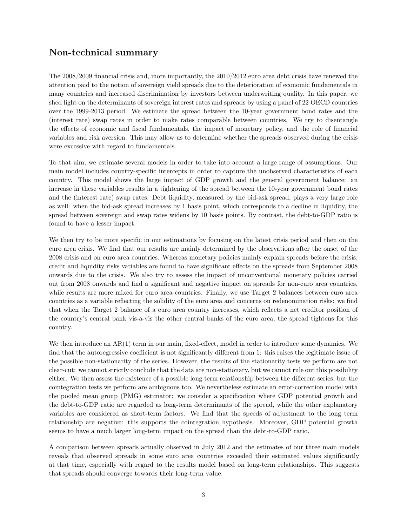## Non-technical summary

The 2008/2009 financial crisis and, more importantly, the 2010/2012 euro area debt crisis have renewed the attention paid to the notion of sovereign yield spreads due to the deterioration of economic fundamentals in many countries and increased discrimination by investors between underwriting quality. In this paper, we shed light on the determinants of sovereign interest rates and spreads by using a panel of 22 OECD countries over the 1999-2013 period. We estimate the spread between the 10-year government bond rates and the (interest rate) swap rates in order to make rates comparable between countries. We try to disentangle the effects of economic and fiscal fundamentals, the impact of monetary policy, and the role of financial variables and risk aversion. This may allow us to determine whether the spreads observed during the crisis were excessive with regard to fundamentals.

To that aim, we estimate several models in order to take into account a large range of assumptions. Our main model includes country-specific intercepts in order to capture the unobserved characteristics of each country. This model shows the large impact of GDP growth and the general government balance: an increase in these variables results in a tightening of the spread between the 10-year government bond rates and the (interest rate) swap rates. Debt liquidity, measured by the bid-ask spread, plays a very large role as well: when the bid-ask spread increases by 1 basis point, which corresponds to a decline in liquidity, the spread between sovereign and swap rates widens by 10 basis points. By contrast, the debt-to-GDP ratio is found to have a lesser impact.

We then try to be more specific in our estimations by focusing on the latest crisis period and then on the euro area crisis. We find that our results are mainly determined by the observations after the onset of the 2008 crisis and on euro area countries. Whereas monetary policies mainly explain spreads before the crisis, credit and liquidity risks variables are found to have significant effects on the spreads from September 2008 onwards due to the crisis. We also try to assess the impact of unconventional monetary policies carried out from 2008 onwards and find a significant and negative impact on spreads for non-euro area countries, while results are more mixed for euro area countries. Finally, we use Target 2 balances between euro area countries as a variable reflecting the solidity of the euro area and concerns on redenomination risks: we find that when the Target 2 balance of a euro area country increases, which reflects a net creditor position of the country's central bank vis-a-vis the other central banks of the euro area, the spread tightens for this country.

We then introduce an AR(1) term in our main, fixed-effect, model in order to introduce some dynamics. We find that the autoregressive coefficient is not significantly different from 1: this raises the legitimate issue of the possible non-stationarity of the series. However, the results of the stationarity tests we perform are not clear-cut: we cannot strictly conclude that the data are non-stationary, but we cannot rule out this possibility either. We then assess the existence of a possible long term relationship between the different series, but the cointegration tests we perform are ambiguous too. We nevertheless estimate an error-correction model with the pooled mean group (PMG) estimator: we consider a specification where GDP potential growth and the debt-to-GDP ratio are regarded as long-term determinants of the spread, while the other explanatory variables are considered as short-term factors. We find that the speeds of adjustment to the long term relationship are negative: this supports the cointegration hypothesis. Moreover, GDP potential growth seems to have a much larger long-term impact on the spread than the debt-to-GDP ratio.

A comparison between spreads actually observed in July 2012 and the estimates of our three main models reveals that observed spreads in some euro area countries exceeded their estimated values significantly at that time, especially with regard to the results model based on long-term relationships. This suggests that spreads should converge towards their long-term value.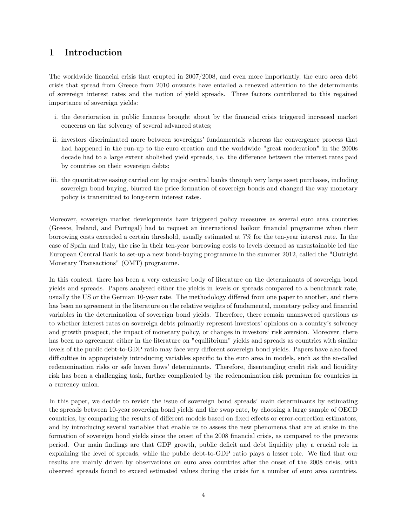## 1 Introduction

The worldwide financial crisis that erupted in 2007/2008, and even more importantly, the euro area debt crisis that spread from Greece from 2010 onwards have entailed a renewed attention to the determinants of sovereign interest rates and the notion of yield spreads. Three factors contributed to this regained importance of sovereign yields:

- i. the deterioration in public finances brought about by the financial crisis triggered increased market concerns on the solvency of several advanced states;
- ii. investors discriminated more between sovereigns' fundamentals whereas the convergence process that had happened in the run-up to the euro creation and the worldwide "great moderation" in the 2000s decade had to a large extent abolished yield spreads, i.e. the difference between the interest rates paid by countries on their sovereign debts;
- iii. the quantitative easing carried out by major central banks through very large asset purchases, including sovereign bond buying, blurred the price formation of sovereign bonds and changed the way monetary policy is transmitted to long-term interest rates.

Moreover, sovereign market developments have triggered policy measures as several euro area countries (Greece, Ireland, and Portugal) had to request an international bailout financial programme when their borrowing costs exceeded a certain threshold, usually estimated at 7% for the ten-year interest rate. In the case of Spain and Italy, the rise in their ten-year borrowing costs to levels deemed as unsustainable led the European Central Bank to set-up a new bond-buying programme in the summer 2012, called the "Outright Monetary Transactions" (OMT) programme.

In this context, there has been a very extensive body of literature on the determinants of sovereign bond yields and spreads. Papers analysed either the yields in levels or spreads compared to a benchmark rate, usually the US or the German 10-year rate. The methodology differed from one paper to another, and there has been no agreement in the literature on the relative weights of fundamental, monetary policy and financial variables in the determination of sovereign bond yields. Therefore, there remain unanswered questions as to whether interest rates on sovereign debts primarily represent investors' opinions on a country's solvency and growth prospect, the impact of monetary policy, or changes in investors' risk aversion. Moreover, there has been no agreement either in the literature on "equilibrium" yields and spreads as countries with similar levels of the public debt-to-GDP ratio may face very different sovereign bond yields. Papers have also faced difficulties in appropriately introducing variables specific to the euro area in models, such as the so-called redenomination risks or safe haven flows' determinants. Therefore, disentangling credit risk and liquidity risk has been a challenging task, further complicated by the redenomination risk premium for countries in a currency union.

In this paper, we decide to revisit the issue of sovereign bond spreads' main determinants by estimating the spreads between 10-year sovereign bond yields and the swap rate, by choosing a large sample of OECD countries, by comparing the results of different models based on fixed effects or error-correction estimators, and by introducing several variables that enable us to assess the new phenomena that are at stake in the formation of sovereign bond yields since the onset of the 2008 financial crisis, as compared to the previous period. Our main findings are that GDP growth, public deficit and debt liquidity play a crucial role in explaining the level of spreads, while the public debt-to-GDP ratio plays a lesser role. We find that our results are mainly driven by observations on euro area countries after the onset of the 2008 crisis, with observed spreads found to exceed estimated values during the crisis for a number of euro area countries.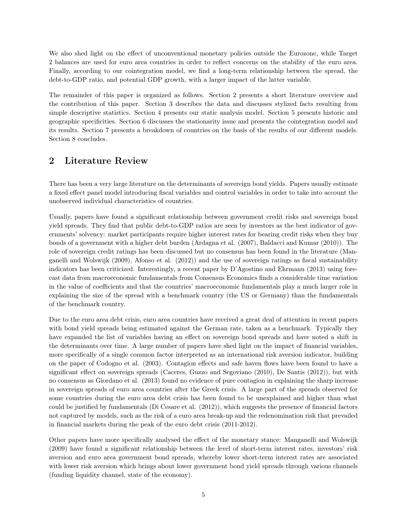We also shed light on the effect of unconventional monetary policies outside the Eurozone, while Target 2 balances are used for euro area countries in order to reflect concerns on the stability of the euro area. Finally, according to our cointegration model, we find a long-term relationship between the spread, the debt-to-GDP ratio, and potential GDP growth, with a larger impact of the latter variable.

The remainder of this paper is organized as follows. Section 2 presents a short literature overview and the contribution of this paper. Section 3 describes the data and discusses stylized facts resulting from simple descriptive statistics. Section 4 presents our static analysis model. Section 5 presents historic and geographic specificities. Section 6 discusses the stationarity issue and presents the cointegration model and its results. Section 7 presents a breakdown of countries on the basis of the results of our different models. Section 8 concludes.

## 2 Literature Review

There has been a very large literature on the determinants of sovereign bond yields. Papers usually estimate a fixed effect panel model introducing fiscal variables and control variables in order to take into account the unobserved individual characteristics of countries.

Usually, papers have found a significant relationship between government credit risks and sovereign bond yield spreads. They find that public debt-to-GDP ratios are seen by investors as the best indicator of governments' solvency: market participants require higher interest rates for bearing credit risks when they buy bonds of a government with a higher debt burden (Ardagna et al. (2007), Baldacci and Kumar (2010)). The role of sovereign credit ratings has been discussed but no consensus has been found in the literature (Manganelli and Wolswijk (2009), Afonso et al. (2012)) and the use of sovereign ratings as fiscal sustainability indicators has been criticized. Interestingly, a recent paper by D'Agostino and Ehrmann (2013) using forecast data from macroeconomic fundamentals from Consensus Economics finds a considerable time variation in the value of coefficients and that the countries' macroeconomic fundamentals play a much larger role in explaining the size of the spread with a benchmark country (the US or Germany) than the fundamentals of the benchmark country.

Due to the euro area debt crisis, euro area countries have received a great deal of attention in recent papers with bond yield spreads being estimated against the German rate, taken as a benchmark. Typically they have expanded the list of variables having an effect on sovereign bond spreads and have noted a shift in the determinants over time. A large number of papers have shed light on the impact of financial variables, more specifically of a single common factor interpreted as an international risk aversion indicator, building on the paper of Codogno et al. (2003). Contagion effects and safe haven flows have been found to have a significant effect on sovereign spreads (Caceres, Guzzo and Segoviano (2010), De Santis (2012)), but with no consensus as Giordano et al. (2013) found no evidence of pure contagion in explaining the sharp increase in sovereign spreads of euro area countries after the Greek crisis. A large part of the spreads observed for some countries during the euro area debt crisis has been found to be unexplained and higher than what could be justified by fundamentals (Di Cesare et al. (2012)), which suggests the presence of financial factors not captured by models, such as the risk of a euro area break-up and the redenomination risk that prevailed in financial markets during the peak of the euro debt crisis (2011-2012).

Other papers have more specifically analysed the effect of the monetary stance: Manganelli and Wolswijk (2009) have found a significant relationship between the level of short-term interest rates, investors' risk aversion and euro area government bond spreads, whereby lower short-term interest rates are associated with lower risk aversion which brings about lower government bond yield spreads through various channels (funding liquidity channel, state of the economy).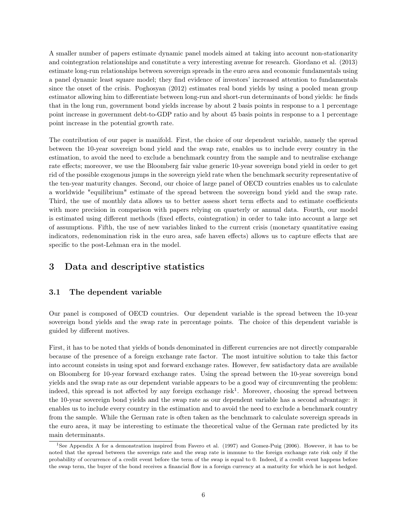A smaller number of papers estimate dynamic panel models aimed at taking into account non-stationarity and cointegration relationships and constitute a very interesting avenue for research. Giordano et al. (2013) estimate long-run relationships between sovereign spreads in the euro area and economic fundamentals using a panel dynamic least square model; they find evidence of investors' increased attention to fundamentals since the onset of the crisis. Poghosyan (2012) estimates real bond yields by using a pooled mean group estimator allowing him to differentiate between long-run and short-run determinants of bond yields: he finds that in the long run, government bond yields increase by about 2 basis points in response to a 1 percentage point increase in government debt-to-GDP ratio and by about 45 basis points in response to a 1 percentage point increase in the potential growth rate.

The contribution of our paper is manifold. First, the choice of our dependent variable, namely the spread between the 10-year sovereign bond yield and the swap rate, enables us to include every country in the estimation, to avoid the need to exclude a benchmark country from the sample and to neutralise exchange rate effects; moreover, we use the Bloomberg fair value generic 10-year sovereign bond yield in order to get rid of the possible exogenous jumps in the sovereign yield rate when the benchmark security representative of the ten-year maturity changes. Second, our choice of large panel of OECD countries enables us to calculate a worldwide "equilibrium" estimate of the spread between the sovereign bond yield and the swap rate. Third, the use of monthly data allows us to better assess short term effects and to estimate coefficients with more precision in comparison with papers relying on quarterly or annual data. Fourth, our model is estimated using different methods (fixed effects, cointegration) in order to take into account a large set of assumptions. Fifth, the use of new variables linked to the current crisis (monetary quantitative easing indicators, redenomination risk in the euro area, safe haven effects) allows us to capture effects that are specific to the post-Lehman era in the model.

## 3 Data and descriptive statistics

#### 3.1 The dependent variable

Our panel is composed of OECD countries. Our dependent variable is the spread between the 10-year sovereign bond yields and the swap rate in percentage points. The choice of this dependent variable is guided by different motives.

First, it has to be noted that yields of bonds denominated in different currencies are not directly comparable because of the presence of a foreign exchange rate factor. The most intuitive solution to take this factor into account consists in using spot and forward exchange rates. However, few satisfactory data are available on Bloomberg for 10-year forward exchange rates. Using the spread between the 10-year sovereign bond yields and the swap rate as our dependent variable appears to be a good way of circumventing the problem: indeed, this spread is not affected by any foreign exchange risk<sup>1</sup>. Moreover, choosing the spread between the 10-year sovereign bond yields and the swap rate as our dependent variable has a second advantage: it enables us to include every country in the estimation and to avoid the need to exclude a benchmark country from the sample. While the German rate is often taken as the benchmark to calculate sovereign spreads in the euro area, it may be interesting to estimate the theoretical value of the German rate predicted by its main determinants.

<sup>&</sup>lt;sup>1</sup>See Appendix A for a demonstration inspired from Favero et al. (1997) and Gomez-Puig (2006). However, it has to be noted that the spread between the sovereign rate and the swap rate is immune to the foreign exchange rate risk only if the probability of occurrence of a credit event before the term of the swap is equal to 0. Indeed, if a credit event happens before the swap term, the buyer of the bond receives a financial flow in a foreign currency at a maturity for which he is not hedged.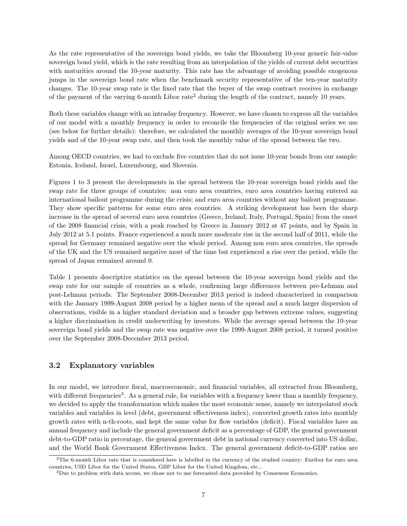As the rate representative of the sovereign bond yields, we take the Bloomberg 10-year generic fair-value sovereign bond yield, which is the rate resulting from an interpolation of the yields of current debt securities with maturities around the 10-year maturity. This rate has the advantage of avoiding possible exogenous jumps in the sovereign bond rate when the benchmark security representative of the ten-year maturity changes. The 10-year swap rate is the fixed rate that the buyer of the swap contract receives in exchange of the payment of the varying 6-month Libor rate<sup>2</sup> during the length of the contract, namely 10 years.

Both these variables change with an intraday frequency. However, we have chosen to express all the variables of our model with a monthly frequency in order to reconcile the frequencies of the original series we use (see below for further details): therefore, we calculated the monthly averages of the 10-year sovereign bond yields and of the 10-year swap rate, and then took the monthly value of the spread between the two.

Among OECD countries, we had to exclude five countries that do not issue 10-year bonds from our sample: Estonia, Iceland, Israel, Luxembourg, and Slovenia.

Figures 1 to 3 present the developments in the spread between the 10-year sovereign bond yields and the swap rate for three groups of countries: non euro area countries, euro area countries having entered an international bailout programme during the crisis; and euro area countries without any bailout programme. They show specific patterns for some euro area countries. A striking development has been the sharp increase in the spread of several euro area countries (Greece, Ireland, Italy, Portugal, Spain) from the onset of the 2008 financial crisis, with a peak reached by Greece in January 2012 at 47 points, and by Spain in July 2012 at 5.1 points. France experienced a much more moderate rise in the second half of 2011, while the spread for Germany remained negative over the whole period. Among non euro area countries, the spreads of the UK and the US remained negative most of the time but experienced a rise over the period, while the spread of Japan remained around 0.

Table 1 presents descriptive statistics on the spread between the 10-year sovereign bond yields and the swap rate for our sample of countries as a whole, confirming large differences between pre-Lehman and post-Lehman periods. The September 2008-December 2013 period is indeed characterized in comparison with the January 1999-August 2008 period by a higher mean of the spread and a much larger dispersion of observations, visible in a higher standard deviation and a broader gap between extreme values, suggesting a higher discrimination in credit underwriting by investors. While the average spread between the 10-year sovereign bond yields and the swap rate was negative over the 1999-August 2008 period, it turned positive over the September 2008-December 2013 period.

#### 3.2 Explanatory variables

In our model, we introduce fiscal, macroeconomic, and financial variables, all extracted from Bloomberg, with different frequencies<sup>3</sup>. As a general rule, for variables with a frequency lower than a monthly frequency, we decided to apply the transformation which makes the most economic sense, namely we interpolated stock variables and variables in level (debt, government effectiveness index), converted growth rates into monthly growth rates with n-th-roots, and kept the same value for flow variables (deficit). Fiscal variables have an annual frequency and include the general government deficit as a percentage of GDP, the general government debt-to-GDP ratio in percentage, the general government debt in national currency converted into US dollar, and the World Bank Government Effectiveness Index. The general government deficit-to-GDP ratios are

 $2$ The 6-month Libor rate that is considered here is labelled in the currency of the studied country: Euribor for euro area countries, USD Libor for the United States, GBP Libor for the United Kingdom, etc...

 $3$ Due to problem with data access, we chose not to use forecasted data provided by Consensus Economics.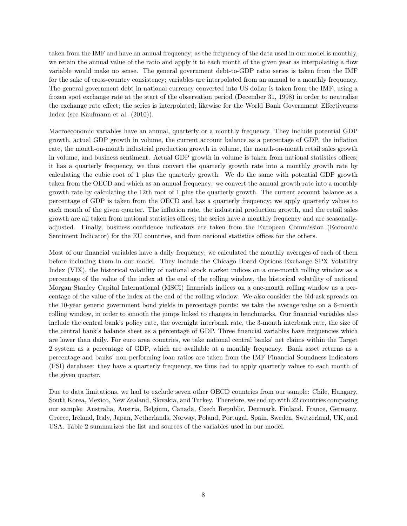taken from the IMF and have an annual frequency; as the frequency of the data used in our model is monthly, we retain the annual value of the ratio and apply it to each month of the given year as interpolating a flow variable would make no sense. The general government debt-to-GDP ratio series is taken from the IMF for the sake of cross-country consistency; variables are interpolated from an annual to a monthly frequency. The general government debt in national currency converted into US dollar is taken from the IMF, using a frozen spot exchange rate at the start of the observation period (December 31, 1998) in order to neutralise the exchange rate effect; the series is interpolated; likewise for the World Bank Government Effectiveness Index (see Kaufmann et al. (2010)).

Macroeconomic variables have an annual, quarterly or a monthly frequency. They include potential GDP growth, actual GDP growth in volume, the current account balance as a percentage of GDP, the inflation rate, the month-on-month industrial production growth in volume, the month-on-month retail sales growth in volume, and business sentiment. Actual GDP growth in volume is taken from national statistics offices; it has a quarterly frequency, we thus convert the quarterly growth rate into a monthly growth rate by calculating the cubic root of 1 plus the quarterly growth. We do the same with potential GDP growth taken from the OECD and which as an annual frequency: we convert the annual growth rate into a monthly growth rate by calculating the 12th root of 1 plus the quarterly growth. The current account balance as a percentage of GDP is taken from the OECD and has a quarterly frequency; we apply quarterly values to each month of the given quarter. The inflation rate, the industrial production growth, and the retail sales growth are all taken from national statistics offices; the series have a monthly frequency and are seasonallyadjusted. Finally, business confidence indicators are taken from the European Commission (Economic Sentiment Indicator) for the EU countries, and from national statistics offices for the others.

Most of our financial variables have a daily frequency; we calculated the monthly averages of each of them before including them in our model. They include the Chicago Board Options Exchange SPX Volatility Index (VIX), the historical volatility of national stock market indices on a one-month rolling window as a percentage of the value of the index at the end of the rolling window, the historical volatility of national Morgan Stanley Capital International (MSCI) financials indices on a one-month rolling window as a percentage of the value of the index at the end of the rolling window. We also consider the bid-ask spreads on the 10-year generic government bond yields in percentage points: we take the average value on a 6-month rolling window, in order to smooth the jumps linked to changes in benchmarks. Our financial variables also include the central bank's policy rate, the overnight interbank rate, the 3-month interbank rate, the size of the central bank's balance sheet as a percentage of GDP. Three financial variables have frequencies which are lower than daily. For euro area countries, we take national central banks' net claims within the Target 2 system as a percentage of GDP, which are available at a monthly frequency. Bank asset returns as a percentage and banks' non-performing loan ratios are taken from the IMF Financial Soundness Indicators (FSI) database: they have a quarterly frequency, we thus had to apply quarterly values to each month of the given quarter.

Due to data limitations, we had to exclude seven other OECD countries from our sample: Chile, Hungary, South Korea, Mexico, New Zealand, Slovakia, and Turkey. Therefore, we end up with 22 countries composing our sample: Australia, Austria, Belgium, Canada, Czech Republic, Denmark, Finland, France, Germany, Greece, Ireland, Italy, Japan, Netherlands, Norway, Poland, Portugal, Spain, Sweden, Switzerland, UK, and USA. Table 2 summarizes the list and sources of the variables used in our model.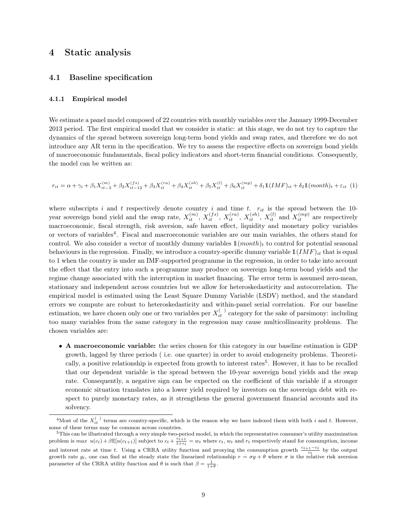### 4 Static analysis

#### 4.1 Baseline specification

#### 4.1.1 Empirical model

We estimate a panel model composed of 22 countries with monthly variables over the January 1999-December 2013 period. The first empirical model that we consider is static: at this stage, we do not try to capture the dynamics of the spread between sovereign long-term bond yields and swap rates, and therefore we do not introduce any AR term in the specification. We try to assess the respective effects on sovereign bond yields of macroeconomic fundamentals, fiscal policy indicators and short-term financial conditions. Consequently, the model can be written as:

$$
r_{it} = \alpha + \gamma_i + \beta_1 X_{it-3}^{(m)} + \beta_2 X_{it-12}^{(fs)} + \beta_3 X_{it}^{(ra)} + \beta_4 X_{it}^{(sh)} + \beta_5 X_{it}^{(l)} + \beta_6 X_{it}^{(mp)} + \delta_1 \mathbb{1}(IMF)_{it} + \delta_2 \mathbb{1}(month)_t + \varepsilon_{it} (1)
$$

where subscripts i and t respectively denote country i and time t.  $r_{it}$  is the spread between the 10year sovereign bond yield and the swap rate,  $X_{it}^{(m)}$ ,  $X_{it}^{(fs)}$ ,  $X_{it}^{(ra)}$ ,  $X_{it}^{(sh)}$ ,  $X_{it}^{(l)}$  and  $X_{it}^{(mp)}$  are respectively macroeconomic, fiscal strength, risk aversion, safe haven effect, liquidity and monetary policy variables or vectors of variables<sup>4</sup>. Fiscal and macroeconomic variables are our main variables, the others stand for control. We also consider a vector of monthly dummy variables  $\mathbb{1}(month)_t$  to control for potential seasonal behaviours in the regression. Finally, we introduce a country-specific dummy variable  $\mathbb{1}(IMF)_{it}$  that is equal to 1 when the country is under an IMF-supported programme in the regression, in order to take into account the effect that the entry into such a programme may produce on sovereign long-term bond yields and the regime change associated with the interruption in market financing. The error term is assumed zero-mean, stationary and independent across countries but we allow for heteroskedasticity and autocorrelation. The empirical model is estimated using the Least Square Dummy Variable (LSDV) method, and the standard errors we compute are robust to heteroskedasticity and within-panel serial correlation. For our baseline estimation, we have chosen only one or two variables per  $X_{it}^{(-)}$  category for the sake of parsimony: including too many variables from the same category in the regression may cause multicollinearity problems. The chosen variables are:

• A macroeconomic variable: the series chosen for this category in our baseline estimation is GDP growth, lagged by three periods ( i.e. one quarter) in order to avoid endogeneity problems. Theoretically, a positive relationship is expected from growth to interest rates<sup>5</sup>. However, it has to be recalled that our dependent variable is the spread between the 10-year sovereign bond yields and the swap rate. Consequently, a negative sign can be expected on the coefficient of this variable if a stronger economic situation translates into a lower yield required by investors on the sovereign debt with respect to purely monetary rates, as it strengthens the general government financial accounts and its solvency.

<sup>&</sup>lt;sup>4</sup>Most of the  $X_{it}^{(-)}$  terms are country-specific, which is the reason why we have indexed them with both i and t. However, some of these terms may be common across countries.

 $5$ This can be illustrated through a very simple two-period model, in which the representative consumer's utility maximization problem is  $max \ u(c_t) + \beta \mathbb{E}[u(c_{t+1})]$  subject to  $c_t + \frac{c_{t+1}}{1+r_t} = w_t$  where  $c_t$ ,  $w_t$  and  $r_t$  respectively stand for consumption, income and interest rate at time t. Using a CRRA utility function and proxying the consumption growth  $\frac{c_{t+1}-c_t}{c_t}$  by the output growth rate  $g_t$ , one can find at the steady state the linearized relationship  $r = \sigma g + \theta$  where  $\sigma$  is the relative risk aversion parameter of the CRRA utility function and  $\theta$  is such that  $\beta = \frac{1}{1+\theta}$ .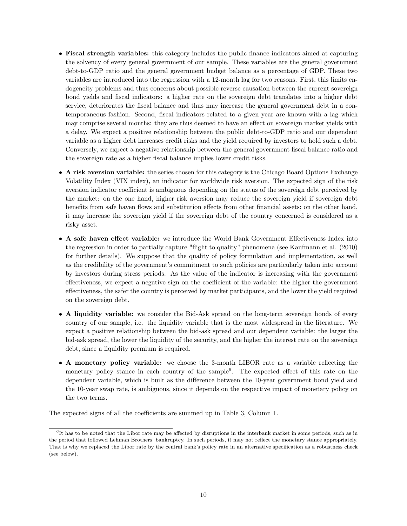- Fiscal strength variables: this category includes the public finance indicators aimed at capturing the solvency of every general government of our sample. These variables are the general government debt-to-GDP ratio and the general government budget balance as a percentage of GDP. These two variables are introduced into the regression with a 12-month lag for two reasons. First, this limits endogeneity problems and thus concerns about possible reverse causation between the current sovereign bond yields and fiscal indicators: a higher rate on the sovereign debt translates into a higher debt service, deteriorates the fiscal balance and thus may increase the general government debt in a contemporaneous fashion. Second, fiscal indicators related to a given year are known with a lag which may comprise several months: they are thus deemed to have an effect on sovereign market yields with a delay. We expect a positive relationship between the public debt-to-GDP ratio and our dependent variable as a higher debt increases credit risks and the yield required by investors to hold such a debt. Conversely, we expect a negative relationship between the general government fiscal balance ratio and the sovereign rate as a higher fiscal balance implies lower credit risks.
- A risk aversion variable: the series chosen for this category is the Chicago Board Options Exchange Volatility Index (VIX index), an indicator for worldwide risk aversion. The expected sign of the risk aversion indicator coefficient is ambiguous depending on the status of the sovereign debt perceived by the market: on the one hand, higher risk aversion may reduce the sovereign yield if sovereign debt benefits from safe haven flows and substitution effects from other financial assets; on the other hand, it may increase the sovereign yield if the sovereign debt of the country concerned is considered as a risky asset.
- A safe haven effect variable: we introduce the World Bank Government Effectiveness Index into the regression in order to partially capture "flight to quality" phenomena (see Kaufmann et al. (2010) for further details). We suppose that the quality of policy formulation and implementation, as well as the credibility of the government's commitment to such policies are particularly taken into account by investors during stress periods. As the value of the indicator is increasing with the government effectiveness, we expect a negative sign on the coefficient of the variable: the higher the government effectiveness, the safer the country is perceived by market participants, and the lower the yield required on the sovereign debt.
- A liquidity variable: we consider the Bid-Ask spread on the long-term sovereign bonds of every country of our sample, i.e. the liquidity variable that is the most widespread in the literature. We expect a positive relationship between the bid-ask spread and our dependent variable: the larger the bid-ask spread, the lower the liquidity of the security, and the higher the interest rate on the sovereign debt, since a liquidity premium is required.
- A monetary policy variable: we choose the 3-month LIBOR rate as a variable reflecting the monetary policy stance in each country of the sample<sup>6</sup>. The expected effect of this rate on the dependent variable, which is built as the difference between the 10-year government bond yield and the 10-year swap rate, is ambiguous, since it depends on the respective impact of monetary policy on the two terms.

The expected signs of all the coefficients are summed up in Table 3, Column 1.

<sup>&</sup>lt;sup>6</sup>It has to be noted that the Libor rate may be affected by disruptions in the interbank market in some periods, such as in the period that followed Lehman Brothers' bankruptcy. In such periods, it may not reflect the monetary stance appropriately. That is why we replaced the Libor rate by the central bank's policy rate in an alternative specification as a robustness check (see below).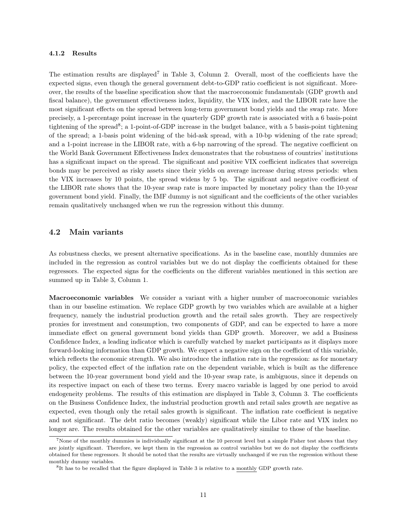#### 4.1.2 Results

The estimation results are displayed<sup>7</sup> in Table 3, Column 2. Overall, most of the coefficients have the expected signs, even though the general government debt-to-GDP ratio coefficient is not significant. Moreover, the results of the baseline specification show that the macroeconomic fundamentals (GDP growth and fiscal balance), the government effectiveness index, liquidity, the VIX index, and the LIBOR rate have the most significant effects on the spread between long-term government bond yields and the swap rate. More precisely, a 1-percentage point increase in the quarterly GDP growth rate is associated with a 6 basis-point tightening of the spread<sup>8</sup>; a 1-point-of-GDP increase in the budget balance, with a 5 basis-point tightening of the spread; a 1-basis point widening of the bid-ask spread, with a 10-bp widening of the rate spread; and a 1-point increase in the LIBOR rate, with a 6-bp narrowing of the spread. The negative coefficient on the World Bank Government Effectiveness Index demonstrates that the robustness of countries' institutions has a significant impact on the spread. The significant and positive VIX coefficient indicates that sovereign bonds may be perceived as risky assets since their yields on average increase during stress periods: when the VIX increases by 10 points, the spread widens by 5 bp. The significant and negative coefficient of the LIBOR rate shows that the 10-year swap rate is more impacted by monetary policy than the 10-year government bond yield. Finally, the IMF dummy is not significant and the coefficients of the other variables remain qualitatively unchanged when we run the regression without this dummy.

#### 4.2 Main variants

As robustness checks, we present alternative specifications. As in the baseline case, monthly dummies are included in the regression as control variables but we do not display the coefficients obtained for these regressors. The expected signs for the coefficients on the different variables mentioned in this section are summed up in Table 3, Column 1.

Macroeconomic variables We consider a variant with a higher number of macroeconomic variables than in our baseline estimation. We replace GDP growth by two variables which are available at a higher frequency, namely the industrial production growth and the retail sales growth. They are respectively proxies for investment and consumption, two components of GDP, and can be expected to have a more immediate effect on general government bond yields than GDP growth. Moreover, we add a Business Confidence Index, a leading indicator which is carefully watched by market participants as it displays more forward-looking information than GDP growth. We expect a negative sign on the coefficient of this variable, which reflects the economic strength. We also introduce the inflation rate in the regression: as for monetary policy, the expected effect of the inflation rate on the dependent variable, which is built as the difference between the 10-year government bond yield and the 10-year swap rate, is ambiguous, since it depends on its respective impact on each of these two terms. Every macro variable is lagged by one period to avoid endogeneity problems. The results of this estimation are displayed in Table 3, Column 3. The coefficients on the Business Confidence Index, the industrial production growth and retail sales growth are negative as expected, even though only the retail sales growth is significant. The inflation rate coefficient is negative and not significant. The debt ratio becomes (weakly) significant while the Libor rate and VIX index no longer are. The results obtained for the other variables are qualitatively similar to those of the baseline.

 $7$ None of the monthly dummies is individually significant at the 10 percent level but a simple Fisher test shows that they are jointly significant. Therefore, we kept them in the regression as control variables but we do not display the coefficients obtained for these regressors. It should be noted that the results are virtually unchanged if we run the regression without these monthly dummy variables.

<sup>&</sup>lt;sup>8</sup>It has to be recalled that the figure displayed in Table 3 is relative to a monthly GDP growth rate.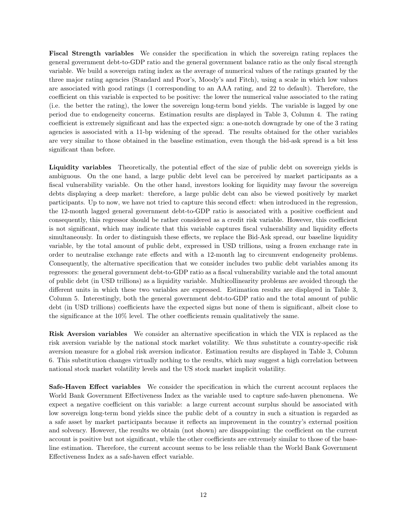Fiscal Strength variables We consider the specification in which the sovereign rating replaces the general government debt-to-GDP ratio and the general government balance ratio as the only fiscal strength variable. We build a sovereign rating index as the average of numerical values of the ratings granted by the three major rating agencies (Standard and Poor's, Moody's and Fitch), using a scale in which low values are associated with good ratings (1 corresponding to an AAA rating, and 22 to default). Therefore, the coefficient on this variable is expected to be positive: the lower the numerical value associated to the rating (i.e. the better the rating), the lower the sovereign long-term bond yields. The variable is lagged by one period due to endogeneity concerns. Estimation results are displayed in Table 3, Column 4. The rating coefficient is extremely significant and has the expected sign: a one-notch downgrade by one of the 3 rating agencies is associated with a 11-bp widening of the spread. The results obtained for the other variables are very similar to those obtained in the baseline estimation, even though the bid-ask spread is a bit less significant than before.

Liquidity variables Theoretically, the potential effect of the size of public debt on sovereign yields is ambiguous. On the one hand, a large public debt level can be perceived by market participants as a fiscal vulnerability variable. On the other hand, investors looking for liquidity may favour the sovereign debts displaying a deep market: therefore, a large public debt can also be viewed positively by market participants. Up to now, we have not tried to capture this second effect: when introduced in the regression, the 12-month lagged general government debt-to-GDP ratio is associated with a positive coefficient and consequently, this regressor should be rather considered as a credit risk variable. However, this coefficient is not significant, which may indicate that this variable captures fiscal vulnerability and liquidity effects simultaneously. In order to distinguish these effects, we replace the Bid-Ask spread, our baseline liquidity variable, by the total amount of public debt, expressed in USD trillions, using a frozen exchange rate in order to neutralise exchange rate effects and with a 12-month lag to circumvent endogeneity problems. Consequently, the alternative specification that we consider includes two public debt variables among its regressors: the general government debt-to-GDP ratio as a fiscal vulnerability variable and the total amount of public debt (in USD trillions) as a liquidity variable. Multicollinearity problems are avoided through the different units in which these two variables are expressed. Estimation results are displayed in Table 3, Column 5. Interestingly, both the general government debt-to-GDP ratio and the total amount of public debt (in USD trillions) coefficients have the expected signs but none of them is significant, albeit close to the significance at the 10% level. The other coefficients remain qualitatively the same.

Risk Aversion variables We consider an alternative specification in which the VIX is replaced as the risk aversion variable by the national stock market volatility. We thus substitute a country-specific risk aversion measure for a global risk aversion indicator. Estimation results are displayed in Table 3, Column 6. This substitution changes virtually nothing to the results, which may suggest a high correlation between national stock market volatility levels and the US stock market implicit volatility.

Safe-Haven Effect variables We consider the specification in which the current account replaces the World Bank Government Effectiveness Index as the variable used to capture safe-haven phenomena. We expect a negative coefficient on this variable: a large current account surplus should be associated with low sovereign long-term bond yields since the public debt of a country in such a situation is regarded as a safe asset by market participants because it reflects an improvement in the country's external position and solvency. However, the results we obtain (not shown) are disappointing: the coefficient on the current account is positive but not significant, while the other coefficients are extremely similar to those of the baseline estimation. Therefore, the current account seems to be less reliable than the World Bank Government Effectiveness Index as a safe-haven effect variable.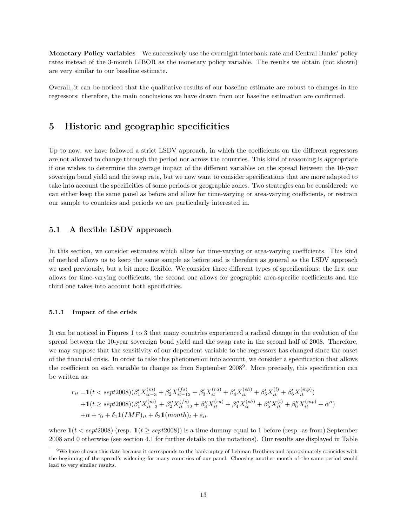Monetary Policy variables We successively use the overnight interbank rate and Central Banks' policy rates instead of the 3-month LIBOR as the monetary policy variable. The results we obtain (not shown) are very similar to our baseline estimate.

Overall, it can be noticed that the qualitative results of our baseline estimate are robust to changes in the regressors: therefore, the main conclusions we have drawn from our baseline estimation are confirmed.

## 5 Historic and geographic specificities

Up to now, we have followed a strict LSDV approach, in which the coefficients on the different regressors are not allowed to change through the period nor across the countries. This kind of reasoning is appropriate if one wishes to determine the average impact of the different variables on the spread between the 10-year sovereign bond yield and the swap rate, but we now want to consider specifications that are more adapted to take into account the specificities of some periods or geographic zones. Two strategies can be considered: we can either keep the same panel as before and allow for time-varying or area-varying coefficients, or restrain our sample to countries and periods we are particularly interested in.

#### 5.1 A flexible LSDV approach

In this section, we consider estimates which allow for time-varying or area-varying coefficients. This kind of method allows us to keep the same sample as before and is therefore as general as the LSDV approach we used previously, but a bit more flexible. We consider three different types of specifications: the first one allows for time-varying coefficients, the second one allows for geographic area-specific coefficients and the third one takes into account both specificities.

#### 5.1.1 Impact of the crisis

It can be noticed in Figures 1 to 3 that many countries experienced a radical change in the evolution of the spread between the 10-year sovereign bond yield and the swap rate in the second half of 2008. Therefore, we may suppose that the sensitivity of our dependent variable to the regressors has changed since the onset of the financial crisis. In order to take this phenomenon into account, we consider a specification that allows the coefficient on each variable to change as from September 2008<sup>9</sup>. More precisely, this specification can be written as:

$$
r_{it} = 1(t < sept2008)(\beta'_1 X_{it-3}^{(m)} + \beta'_2 X_{it-12}^{(fs)} + \beta'_3 X_{it}^{(ra)} + \beta'_4 X_{it}^{(sh)} + \beta'_5 X_{it}^{(l)} + \beta'_6 X_{it}^{(mp)})
$$
  
+1(t  $\ge$  sept2008)( $\beta''_1 X_{it-3}^{(m)} + \beta''_2 X_{it-12}^{(fs)} + \beta''_3 X_{it}^{(ra)} + \beta''_4 X_{it}^{(sh)} + \beta''_5 X_{it}^{(l)} + \beta''_6 X_{it}^{(mp)} + \alpha'')$   
+ $\alpha + \gamma_i + \delta_1 1(IMF)_{it} + \delta_2 1(month)_t + \varepsilon_{it}$ 

where  $1(t < sept2008)$  (resp.  $1(t \ge sept2008)$ ) is a time dummy equal to 1 before (resp. as from) September 2008 and 0 otherwise (see section 4.1 for further details on the notations). Our results are displayed in Table

<sup>&</sup>lt;sup>9</sup>We have chosen this date because it corresponds to the bankruptcy of Lehman Brothers and approximately coincides with the beginning of the spread's widening for many countries of our panel. Choosing another month of the same period would lead to very similar results.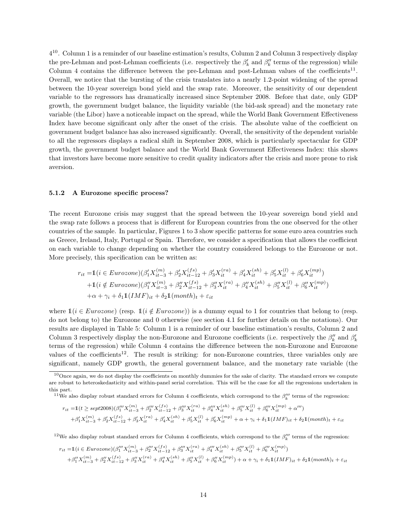$4^{10}$ . Column 1 is a reminder of our baseline estimation's results, Column 2 and Column 3 respectively display the pre-Lehman and post-Lehman coefficients (i.e. respectively the  $\beta'_k$  and  $\beta''_k$  terms of the regression) while Column 4 contains the difference between the pre-Lehman and post-Lehman values of the coefficients<sup>11</sup>. Overall, we notice that the bursting of the crisis translates into a nearly 1.2-point widening of the spread between the 10-year sovereign bond yield and the swap rate. Moreover, the sensitivity of our dependent variable to the regressors has dramatically increased since September 2008. Before that date, only GDP growth, the government budget balance, the liquidity variable (the bid-ask spread) and the monetary rate variable (the Libor) have a noticeable impact on the spread, while the World Bank Government Effectiveness Index have become significant only after the onset of the crisis. The absolute value of the coefficient on government budget balance has also increased significantly. Overall, the sensitivity of the dependent variable to all the regressors displays a radical shift in September 2008, which is particularly spectacular for GDP growth, the government budget balance and the World Bank Government Effectiveness Index: this shows that investors have become more sensitive to credit quality indicators after the crisis and more prone to risk aversion.

#### 5.1.2 A Eurozone specific process?

The recent Eurozone crisis may suggest that the spread between the 10-year sovereign bond yield and the swap rate follows a process that is different for European countries from the one observed for the other countries of the sample. In particular, Figures 1 to 3 show specific patterns for some euro area countries such as Greece, Ireland, Italy, Portugal or Spain. Therefore, we consider a specification that allows the coefficient on each variable to change depending on whether the country considered belongs to the Eurozone or not. More precisely, this specification can be written as:

$$
r_{it} = 1 (i \in Eurozone)(\beta'_1 X_{it-3}^{(m)} + \beta'_2 X_{it-12}^{(fs)} + \beta'_3 X_{it}^{(ra)} + \beta'_4 X_{it}^{(sh)} + \beta'_5 X_{it}^{(l)} + \beta'_6 X_{it}^{(mp)})
$$
  
+1(*i*  $\notin Eurozone)(\beta''_1 X_{it-3}^{(m)} + \beta''_2 X_{it-12}^{(fs)} + \beta''_3 X_{it}^{(ra)} + \beta''_4 X_{it}^{(sh)} + \beta''_5 X_{it}^{(l)} + \beta''_6 X_{it}^{(mp)})$   
+ $\alpha + \gamma_i + \delta_1 \mathbb{1} (IMF)_{it} + \delta_2 \mathbb{1} (month)_t + \varepsilon_{it}$ 

where  $\mathbb{1}(i \in Eurozone)$  (resp.  $\mathbb{1}(i \notin Eurozone)$ ) is a dummy equal to 1 for countries that belong to (resp. do not belong to) the Eurozone and 0 otherwise (see section 4.1 for further details on the notations). Our results are displayed in Table 5: Column 1 is a reminder of our baseline estimation's results, Column 2 and Column 3 respectively display the non-Eurozone and Eurozone coefficients (i.e. respectively the  $\beta_k''$  and  $\beta_k'$ terms of the regression) while Column 4 contains the difference between the non-Eurozone and Eurozone values of the coefficients<sup>12</sup>. The result is striking: for non-Eurozone countries, three variables only are significant, namely GDP growth, the general government balance, and the monetary rate variable (the

$$
r_{it} = 1(t \ge sept2008)(\beta_1''' X_{it-3}^{(m)} + \beta_2''' X_{it-12}^{(fs)} + \beta_3''' X_{it}^{(ra)} + \beta_4''' X_{it}^{(sh)} + \beta_5''' X_{it}^{(l)} + \beta_6''' X_{it}^{(mp)} + \alpha''')
$$
  
+  $\beta_1' X_{it-3}^{(m)} + \beta_2' X_{it-12}^{(fs)} + \beta_3' X_{it}^{(ra)} + \beta_4' X_{it}^{(sh)} + \beta_5' X_{it}^{(l)} + \beta_6' X_{it}^{(mp)} + \alpha + \gamma_i + \delta_1 \mathbb{1} (IMF)_{it} + \delta_2 \mathbb{1} (month)_t + \varepsilon_{it}$ 

<sup>12</sup>We also display robust standard errors for Column 4 coefficients, which correspond to the  $\beta_k^{\prime\prime\prime}$  terms of the regression:

$$
\begin{split} r_{it} = & \mathbb{1}(i \in Eurozone)(\beta_1'''X_{it-3}^{(m)} + \beta_2'''X_{it-12}^{(fs)} + \beta_3'''X_{it}^{(ra)} + \beta_4'''X_{it}^{(sh)} + \beta_5'''X_{it}^{(l)} + \beta_6'''X_{it}^{(mp)}) \\ & + \beta_1''X_{it-3}^{(m)} + \beta_2''X_{it-12}^{(fs)} + \beta_3''X_{it}^{(ra)} + \beta_4''X_{it}^{(sh)} + \beta_5''X_{it}^{(l)} + \beta_6'''X_{it}^{(mp)}) + \alpha + \gamma_i + \delta_1\mathbb{1}(IMF)_{it} + \delta_2\mathbb{1}(month)_t + \varepsilon_{it} \end{split}
$$

 $10$ Once again, we do not display the coefficients on monthly dummies for the sake of clarity. The standard errors we compute are robust to heteroskedasticity and within-panel serial correlation. This will be the case for all the regressions undertaken in this part.

<sup>&</sup>lt;sup>11</sup>We also display robust standard errors for Column 4 coefficients, which correspond to the  $\beta_k^{\prime\prime\prime}$  terms of the regression: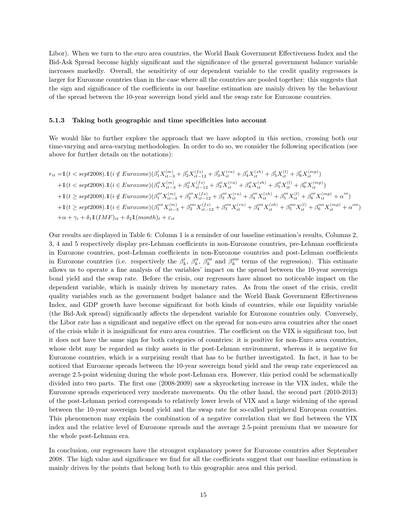Libor). When we turn to the euro area countries, the World Bank Government Effectiveness Index and the Bid-Ask Spread become highly significant and the significance of the general government balance variable increases markedly. Overall, the sensitivity of our dependent variable to the credit quality regressors is larger for Eurozone countries than in the case where all the countries are pooled together: this suggests that the sign and significance of the coefficients in our baseline estimation are mainly driven by the behaviour of the spread between the 10-year sovereign bond yield and the swap rate for Eurozone countries.

#### 5.1.3 Taking both geographic and time specificities into account

We would like to further explore the approach that we have adopted in this section, crossing both our time-varying and area-varying methodologies. In order to do so, we consider the following specification (see above for further details on the notations):

$$
r_{it} = 1(t < sept2008).1(i \notin Eurozone)(\beta'_{1}X_{it-3}^{(m)} + \beta'_{2}X_{it-12}^{(fs)} + \beta'_{3}X_{it}^{(ra)} + \beta'_{4}X_{it}^{(sh)} + \beta'_{5}X_{it}^{(l)} + \beta'_{6}X_{it}^{(mp)})
$$
  
+1(t < sept2008).1(i \in Eurozone)(\beta''\_{1}X\_{it-3}^{(m)} + \beta''\_{2}X\_{it-12}^{(fs)} + \beta''\_{3}X\_{it}^{(ra)} + \beta''\_{4}X\_{it}^{(sh)} + \beta''\_{5}X\_{it}^{(l)} + \beta''\_{6}X\_{it}^{(mp)})  
+1(t \ge sept2008).1(i \notin Eurozone)(\beta''\_{1}X\_{it-3}^{(m)} + \beta''\_{2}X\_{it-12}^{(fs)} + \beta''\_{3}X\_{it}^{(ra)} + \beta''\_{4}X\_{it}^{(sh)} + \beta''\_{5}X\_{it}^{(l)} + \beta''\_{6}X\_{it}^{(mp)} + \alpha''')  
+1(t \ge sept2008).1(i \in Eurozone)(\beta''\_{1}X\_{it-3}^{(m)} + \beta''\_{2}X\_{it-12}^{(fs)} + \beta'''\_{3}X\_{it}^{(ra)} + \beta'''\_{4}X\_{it}^{(sh)} + \beta'''\_{5}X\_{it}^{(l)} + \beta'''\_{6}X\_{it}^{(mp)} + \alpha''')  
+ \alpha + \gamma\_{i} + \delta\_{1}1(\text{IMF})\_{it} + \delta\_{2}1(\text{month})\_{t} + \varepsilon\_{it}

Our results are displayed in Table 6: Column 1 is a reminder of our baseline estimation's results, Columns 2, 3, 4 and 5 respectively display pre-Lehman coefficients in non-Eurozone countries, pre-Lehman coefficients in Eurozone countries, post-Lehman coefficients in non-Eurozone countries and post-Lehman coefficients in Eurozone countries (i.e. respectively the  $\beta'_k$ ,  $\beta''_k$ ,  $\beta'''_k$  and  $\beta'''_k$  terms of the regression). This estimate allows us to operate a fine analysis of the variables' impact on the spread between the 10-year sovereign bond yield and the swap rate. Before the crisis, our regressors have almost no noticeable impact on the dependent variable, which is mainly driven by monetary rates. As from the onset of the crisis, credit quality variables such as the government budget balance and the World Bank Government Effectiveness Index, and GDP growth have become significant for both kinds of countries, while our liquidity variable (the Bid-Ask spread) significantly affects the dependent variable for Eurozone countries only. Conversely, the Libor rate has a significant and negative effect on the spread for non-euro area countries after the onset of the crisis while it is insignificant for euro area countries. The coefficient on the VIX is significant too, but it does not have the same sign for both categories of countries: it is positive for non-Euro area countries, whose debt may be regarded as risky assets in the post-Lehman environment, whereas it is negative for Eurozone countries, which is a surprising result that has to be further investigated. In fact, it has to be noticed that Eurozone spreads between the 10-year sovereign bond yield and the swap rate experienced an average 2.5-point widening during the whole post-Lehman era. However, this period could be schematically divided into two parts. The first one (2008-2009) saw a skyrocketing increase in the VIX index, while the Eurozone spreads experienced very moderate movements. On the other hand, the second part (2010-2013) of the post-Lehman period corresponds to relatively lower levels of VIX and a large widening of the spread between the 10-year sovereign bond yield and the swap rate for so-called peripheral European countries. This phenomenon may explain the combination of a negative correlation that we find between the VIX index and the relative level of Eurozone spreads and the average 2.5-point premium that we measure for the whole post-Lehman era.

In conclusion, our regressors have the strongest explanatory power for Eurozone countries after September 2008. The high value and significance we find for all the coefficients suggest that our baseline estimation is mainly driven by the points that belong both to this geographic area and this period.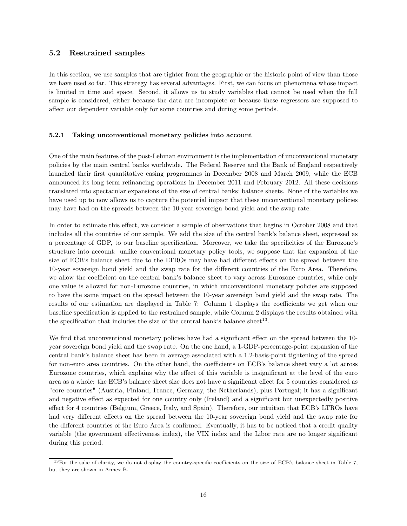#### 5.2 Restrained samples

In this section, we use samples that are tighter from the geographic or the historic point of view than those we have used so far. This strategy has several advantages. First, we can focus on phenomena whose impact is limited in time and space. Second, it allows us to study variables that cannot be used when the full sample is considered, either because the data are incomplete or because these regressors are supposed to affect our dependent variable only for some countries and during some periods.

#### 5.2.1 Taking unconventional monetary policies into account

One of the main features of the post-Lehman environment is the implementation of unconventional monetary policies by the main central banks worldwide. The Federal Reserve and the Bank of England respectively launched their first quantitative easing programmes in December 2008 and March 2009, while the ECB announced its long term refinancing operations in December 2011 and February 2012. All these decisions translated into spectacular expansions of the size of central banks' balance sheets. None of the variables we have used up to now allows us to capture the potential impact that these unconventional monetary policies may have had on the spreads between the 10-year sovereign bond yield and the swap rate.

In order to estimate this effect, we consider a sample of observations that begins in October 2008 and that includes all the countries of our sample. We add the size of the central bank's balance sheet, expressed as a percentage of GDP, to our baseline specification. Moreover, we take the specificities of the Eurozone's structure into account: unlike conventional monetary policy tools, we suppose that the expansion of the size of ECB's balance sheet due to the LTROs may have had different effects on the spread between the 10-year sovereign bond yield and the swap rate for the different countries of the Euro Area. Therefore, we allow the coefficient on the central bank's balance sheet to vary across Eurozone countries, while only one value is allowed for non-Eurozone countries, in which unconventional monetary policies are supposed to have the same impact on the spread between the 10-year sovereign bond yield and the swap rate. The results of our estimation are displayed in Table 7: Column 1 displays the coefficients we get when our baseline specification is applied to the restrained sample, while Column 2 displays the results obtained with the specification that includes the size of the central bank's balance sheet<sup>13</sup>.

We find that unconventional monetary policies have had a significant effect on the spread between the 10year sovereign bond yield and the swap rate. On the one hand, a 1-GDP-percentage-point expansion of the central bank's balance sheet has been in average associated with a 1.2-basis-point tightening of the spread for non-euro area countries. On the other hand, the coefficients on ECB's balance sheet vary a lot across Eurozone countries, which explains why the effect of this variable is insignificant at the level of the euro area as a whole: the ECB's balance sheet size does not have a significant effect for 5 countries considered as "core countries" (Austria, Finland, France, Germany, the Netherlands), plus Portugal; it has a significant and negative effect as expected for one country only (Ireland) and a significant but unexpectedly positive effect for 4 countries (Belgium, Greece, Italy, and Spain). Therefore, our intuition that ECB's LTROs have had very different effects on the spread between the 10-year sovereign bond yield and the swap rate for the different countries of the Euro Area is confirmed. Eventually, it has to be noticed that a credit quality variable (the government effectiveness index), the VIX index and the Libor rate are no longer significant during this period.

<sup>&</sup>lt;sup>13</sup>For the sake of clarity, we do not display the country-specific coefficients on the size of ECB's balance sheet in Table 7, but they are shown in Annex B.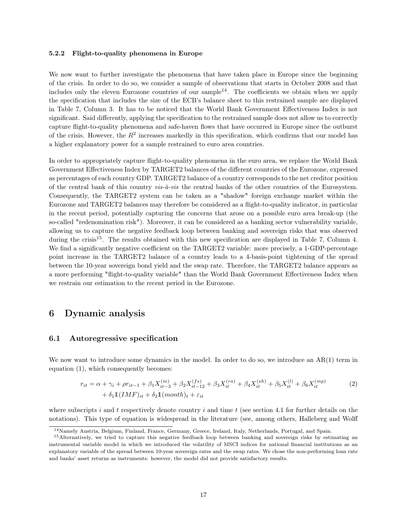#### 5.2.2 Flight-to-quality phenomena in Europe

We now want to further investigate the phenomena that have taken place in Europe since the beginning of the crisis. In order to do so, we consider a sample of observations that starts in October 2008 and that includes only the eleven Eurozone countries of our sample<sup>14</sup>. The coefficients we obtain when we apply the specification that includes the size of the ECB's balance sheet to this restrained sample are displayed in Table 7, Column 3. It has to be noticed that the World Bank Government Effectiveness Index is not significant. Said differently, applying the specification to the restrained sample does not allow us to correctly capture flight-to-quality phenomena and safe-haven flows that have occurred in Europe since the outburst of the crisis. However, the  $R^2$  increases markedly in this specification, which confirms that our model has a higher explanatory power for a sample restrained to euro area countries.

In order to appropriately capture flight-to-quality phenomena in the euro area, we replace the World Bank Government Effectiveness Index by TARGET2 balances of the different countries of the Eurozone, expressed as percentages of each country GDP. TARGET2 balance of a country corresponds to the net creditor position of the central bank of this country  $vis-\hat{a}-vis$  the central banks of the other countries of the Eurosystem. Consequently, the TARGET2 system can be taken as a "shadow" foreign exchange market within the Eurozone and TARGET2 balances may therefore be considered as a flight-to-quality indicator, in particular in the recent period, potentially capturing the concerns that arose on a possible euro area break-up (the so-called "redenomination risk"). Moreover, it can be considered as a banking sector vulnerability variable, allowing us to capture the negative feedback loop between banking and sovereign risks that was observed during the crisis<sup>15</sup>. The results obtained with this new specification are displayed in Table 7, Column 4. We find a significantly negative coefficient on the TARGET2 variable: more precisely, a 1-GDP-percentage point increase in the TARGET2 balance of a country leads to a 4-basis-point tightening of the spread between the 10-year sovereign bond yield and the swap rate. Therefore, the TARGET2 balance appears as a more performing "flight-to-quality variable" than the World Bank Government Effectiveness Index when we restrain our estimation to the recent period in the Eurozone.

## 6 Dynamic analysis

#### 6.1 Autoregressive specification

We now want to introduce some dynamics in the model. In order to do so, we introduce an AR(1) term in equation (1), which consequently becomes:

$$
r_{it} = \alpha + \gamma_i + \rho r_{it-1} + \beta_1 X_{it-3}^{(m)} + \beta_2 X_{it-12}^{(fs)} + \beta_3 X_{it}^{(ra)} + \beta_4 X_{it}^{(sh)} + \beta_5 X_{it}^{(l)} + \beta_6 X_{it}^{(mp)} + \delta_1 \mathbb{1} (IMF)_{it} + \delta_2 \mathbb{1} (month)_t + \varepsilon_{it}
$$
\n(2)

where subscripts i and t respectively denote country i and time t (see section 4.1 for further details on the notations). This type of equation is widespread in the literature (see, among others, Halleberg and Wolff

<sup>14</sup>Namely Austria, Belgium, Finland, France, Germany, Greece, Ireland, Italy, Netherlands, Portugal, and Spain.

<sup>15</sup>Alternatively, we tried to capture this negative feedback loop between banking and sovereign risks by estimating an instrumental variable model in which we introduced the volatility of MSCI indices for national financial institutions as an explanatory variable of the spread between 10-year sovereign rates and the swap rates. We chose the non-performing loan rate and banks' asset returns as instruments: however, the model did not provide satisfactory results.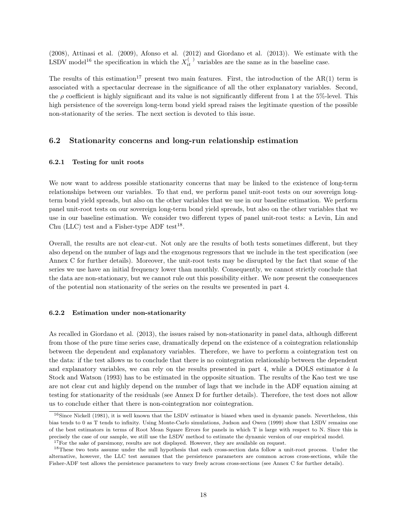(2008), Attinasi et al. (2009), Afonso et al. (2012) and Giordano et al. (2013)). We estimate with the LSDV model<sup>16</sup> the specification in which the  $X_{it}^{(+)}$  variables are the same as in the baseline case.

The results of this estimation<sup>17</sup> present two main features. First, the introduction of the  $AR(1)$  term is associated with a spectacular decrease in the significance of all the other explanatory variables. Second, the  $\rho$  coefficient is highly significant and its value is not significantly different from 1 at the 5%-level. This high persistence of the sovereign long-term bond yield spread raises the legitimate question of the possible non-stationarity of the series. The next section is devoted to this issue.

#### 6.2 Stationarity concerns and long-run relationship estimation

#### 6.2.1 Testing for unit roots

We now want to address possible stationarity concerns that may be linked to the existence of long-term relationships between our variables. To that end, we perform panel unit-root tests on our sovereign longterm bond yield spreads, but also on the other variables that we use in our baseline estimation. We perform panel unit-root tests on our sovereign long-term bond yield spreads, but also on the other variables that we use in our baseline estimation. We consider two different types of panel unit-root tests: a Levin, Lin and Chu (LLC) test and a Fisher-type ADF test<sup>18</sup>.

Overall, the results are not clear-cut. Not only are the results of both tests sometimes different, but they also depend on the number of lags and the exogenous regressors that we include in the test specification (see Annex C for further details). Moreover, the unit-root tests may be disrupted by the fact that some of the series we use have an initial frequency lower than monthly. Consequently, we cannot strictly conclude that the data are non-stationary, but we cannot rule out this possibility either. We now present the consequences of the potential non stationarity of the series on the results we presented in part 4.

#### 6.2.2 Estimation under non-stationarity

As recalled in Giordano et al. (2013), the issues raised by non-stationarity in panel data, although different from those of the pure time series case, dramatically depend on the existence of a cointegration relationship between the dependent and explanatory variables. Therefore, we have to perform a cointegration test on the data: if the test allows us to conclude that there is no cointegration relationship between the dependent and explanatory variables, we can rely on the results presented in part 4, while a DOLS estimator  $\dot{a}$  la Stock and Watson (1993) has to be estimated in the opposite situation. The results of the Kao test we use are not clear cut and highly depend on the number of lags that we include in the ADF equation aiming at testing for stationarity of the residuals (see Annex D for further details). Therefore, the test does not allow us to conclude either that there is non-cointegration nor cointegration.

<sup>&</sup>lt;sup>16</sup>Since Nickell (1981), it is well known that the LSDV estimator is biased when used in dynamic panels. Nevertheless, this bias tends to 0 as T tends to infinity. Using Monte-Carlo simulations, Judson and Owen (1999) show that LSDV remains one of the best estimators in terms of Root Mean Square Errors for panels in which T is large with respect to N. Since this is precisely the case of our sample, we still use the LSDV method to estimate the dynamic version of our empirical model. <sup>17</sup>For the sake of parsimony, results are not displayed. However, they are available on request.

<sup>18</sup>These two tests assume under the null hypothesis that each cross-section data follow a unit-root process. Under the alternative, however, the LLC test assumes that the persistence parameters are common across cross-sections, while the Fisher-ADF test allows the persistence parameters to vary freely across cross-sections (see Annex C for further details).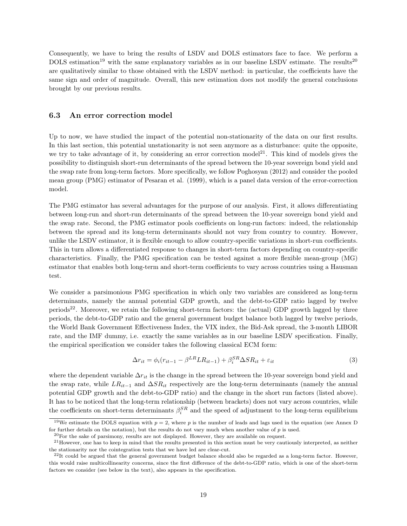Consequently, we have to bring the results of LSDV and DOLS estimators face to face. We perform a DOLS estimation<sup>19</sup> with the same explanatory variables as in our baseline LSDV estimate. The results<sup>20</sup> are qualitatively similar to those obtained with the LSDV method: in particular, the coefficients have the same sign and order of magnitude. Overall, this new estimation does not modify the general conclusions brought by our previous results.

#### 6.3 An error correction model

Up to now, we have studied the impact of the potential non-stationarity of the data on our first results. In this last section, this potential unstationarity is not seen anymore as a disturbance: quite the opposite, we try to take advantage of it, by considering an error correction model<sup>21</sup>. This kind of models gives the possibility to distinguish short-run determinants of the spread between the 10-year sovereign bond yield and the swap rate from long-term factors. More specifically, we follow Poghosyan (2012) and consider the pooled mean group (PMG) estimator of Pesaran et al. (1999), which is a panel data version of the error-correction model.

The PMG estimator has several advantages for the purpose of our analysis. First, it allows differentiating between long-run and short-run determinants of the spread between the 10-year sovereign bond yield and the swap rate. Second, the PMG estimator pools coefficients on long-run factors: indeed, the relationship between the spread and its long-term determinants should not vary from country to country. However, unlike the LSDV estimator, it is flexible enough to allow country-specific variations in short-run coefficients. This in turn allows a differentiated response to changes in short-term factors depending on country-specific characteristics. Finally, the PMG specification can be tested against a more flexible mean-group (MG) estimator that enables both long-term and short-term coefficients to vary across countries using a Hausman test.

We consider a parsimonious PMG specification in which only two variables are considered as long-term determinants, namely the annual potential GDP growth, and the debt-to-GDP ratio lagged by twelve periods<sup>22</sup>. Moreover, we retain the following short-term factors: the (actual) GDP growth lagged by three periods, the debt-to-GDP ratio and the general government budget balance both lagged by twelve periods, the World Bank Government Effectiveness Index, the VIX index, the Bid-Ask spread, the 3-month LIBOR rate, and the IMF dummy, i.e. exactly the same variables as in our baseline LSDV specification. Finally, the empirical specification we consider takes the following classical ECM form:

$$
\Delta r_{it} = \phi_i (r_{it-1} - \beta^{LR} L R_{it-1}) + \beta_i^{SR} \Delta S R_{it} + \varepsilon_{it}
$$
\n(3)

where the dependent variable  $\Delta r_{it}$  is the change in the spread between the 10-year sovereign bond yield and the swap rate, while  $LR_{it-1}$  and  $\Delta SR_{it}$  respectively are the long-term determinants (namely the annual potential GDP growth and the debt-to-GDP ratio) and the change in the short run factors (listed above). It has to be noticed that the long-term relationship (between brackets) does not vary across countries, while the coefficients on short-term determinants  $\beta_i^{SR}$  and the speed of adjustment to the long-term equilibrium

<sup>&</sup>lt;sup>19</sup>We estimate the DOLS equation with  $p = 2$ , where p is the number of leads and lags used in the equation (see Annex D) for further details on the notation), but the results do not vary much when another value of  $p$  is used.

 $^{20}$ For the sake of parsimony, results are not displayed. However, they are available on request.

 $21$  However, one has to keep in mind that the results presented in this section must be very cautiously interpreted, as neither the stationarity nor the cointegration tests that we have led are clear-cut.

 $^{22}$ It could be argued that the general government budget balance should also be regarded as a long-term factor. However, this would raise multicollinearity concerns, since the first difference of the debt-to-GDP ratio, which is one of the short-term factors we consider (see below in the text), also appears in the specification.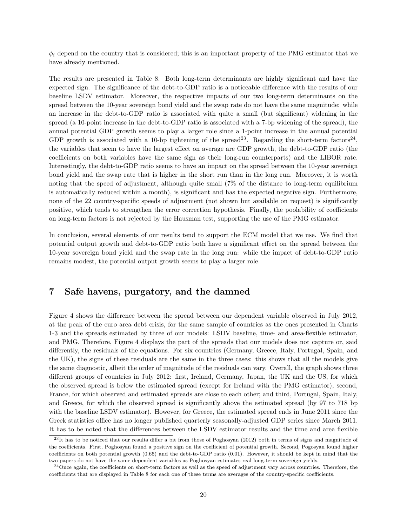$\phi_i$  depend on the country that is considered; this is an important property of the PMG estimator that we have already mentioned.

The results are presented in Table 8. Both long-term determinants are highly significant and have the expected sign. The significance of the debt-to-GDP ratio is a noticeable difference with the results of our baseline LSDV estimator. Moreover, the respective impacts of our two long-term determinants on the spread between the 10-year sovereign bond yield and the swap rate do not have the same magnitude: while an increase in the debt-to-GDP ratio is associated with quite a small (but significant) widening in the spread (a 10-point increase in the debt-to-GDP ratio is associated with a 7-bp widening of the spread), the annual potential GDP growth seems to play a larger role since a 1-point increase in the annual potential GDP growth is associated with a 10-bp tightening of the spread<sup>23</sup>. Regarding the short-term factors<sup>24</sup>, the variables that seem to have the largest effect on average are GDP growth, the debt-to-GDP ratio (the coefficients on both variables have the same sign as their long-run counterparts) and the LIBOR rate. Interestingly, the debt-to-GDP ratio seems to have an impact on the spread between the 10-year sovereign bond yield and the swap rate that is higher in the short run than in the long run. Moreover, it is worth noting that the speed of adjustment, although quite small (7% of the distance to long-term equilibrium is automatically reduced within a month), is significant and has the expected negative sign. Furthermore, none of the 22 country-specific speeds of adjustment (not shown but available on request) is significantly positive, which tends to strengthen the error correction hypothesis. Finally, the poolability of coefficients on long-term factors is not rejected by the Hausman test, supporting the use of the PMG estimator.

In conclusion, several elements of our results tend to support the ECM model that we use. We find that potential output growth and debt-to-GDP ratio both have a significant effect on the spread between the 10-year sovereign bond yield and the swap rate in the long run: while the impact of debt-to-GDP ratio remains modest, the potential output growth seems to play a larger role.

## 7 Safe havens, purgatory, and the damned

Figure 4 shows the difference between the spread between our dependent variable observed in July 2012, at the peak of the euro area debt crisis, for the same sample of countries as the ones presented in Charts 1-3 and the spreads estimated by three of our models: LSDV baseline, time- and area-flexible estimator, and PMG. Therefore, Figure 4 displays the part of the spreads that our models does not capture or, said differently, the residuals of the equations. For six countries (Germany, Greece, Italy, Portugal, Spain, and the UK), the signs of these residuals are the same in the three cases: this shows that all the models give the same diagnostic, albeit the order of magnitude of the residuals can vary. Overall, the graph shows three different groups of countries in July 2012: first, Ireland, Germany, Japan, the UK and the US, for which the observed spread is below the estimated spread (except for Ireland with the PMG estimator); second, France, for which observed and estimated spreads are close to each other; and third, Portugal, Spain, Italy, and Greece, for which the observed spread is significantly above the estimated spread (by 97 to 718 bp with the baseline LSDV estimator). However, for Greece, the estimated spread ends in June 2011 since the Greek statistics office has no longer published quarterly seasonally-adjusted GDP series since March 2011. It has to be noted that the differences between the LSDV estimator results and the time and area flexible

 $^{23}$ It has to be noticed that our results differ a bit from those of Poghosyan (2012) both in terms of signs and magnitude of the coefficients. First, Poghosyan found a positive sign on the coefficient of potential growth. Second, Pogosyan found higher coefficients on both potential growth (0.65) and the debt-to-GDP ratio (0.01). However, it should be kept in mind that the two papers do not have the same dependent variables as Poghosyan estimates real long-term sovereign yields.

 $^{24}$ Once again, the coefficients on short-term factors as well as the speed of adjustment vary across countries. Therefore, the coefficients that are displayed in Table 8 for each one of these terms are averages of the country-specific coefficients.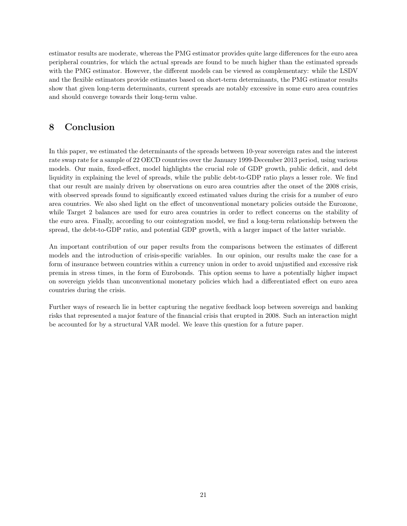estimator results are moderate, whereas the PMG estimator provides quite large differences for the euro area peripheral countries, for which the actual spreads are found to be much higher than the estimated spreads with the PMG estimator. However, the different models can be viewed as complementary: while the LSDV and the flexible estimators provide estimates based on short-term determinants, the PMG estimator results show that given long-term determinants, current spreads are notably excessive in some euro area countries and should converge towards their long-term value.

## 8 Conclusion

In this paper, we estimated the determinants of the spreads between 10-year sovereign rates and the interest rate swap rate for a sample of 22 OECD countries over the January 1999-December 2013 period, using various models. Our main, fixed-effect, model highlights the crucial role of GDP growth, public deficit, and debt liquidity in explaining the level of spreads, while the public debt-to-GDP ratio plays a lesser role. We find that our result are mainly driven by observations on euro area countries after the onset of the 2008 crisis, with observed spreads found to significantly exceed estimated values during the crisis for a number of euro area countries. We also shed light on the effect of unconventional monetary policies outside the Eurozone, while Target 2 balances are used for euro area countries in order to reflect concerns on the stability of the euro area. Finally, according to our cointegration model, we find a long-term relationship between the spread, the debt-to-GDP ratio, and potential GDP growth, with a larger impact of the latter variable.

An important contribution of our paper results from the comparisons between the estimates of different models and the introduction of crisis-specific variables. In our opinion, our results make the case for a form of insurance between countries within a currency union in order to avoid unjustified and excessive risk premia in stress times, in the form of Eurobonds. This option seems to have a potentially higher impact on sovereign yields than unconventional monetary policies which had a differentiated effect on euro area countries during the crisis.

Further ways of research lie in better capturing the negative feedback loop between sovereign and banking risks that represented a major feature of the financial crisis that erupted in 2008. Such an interaction might be accounted for by a structural VAR model. We leave this question for a future paper.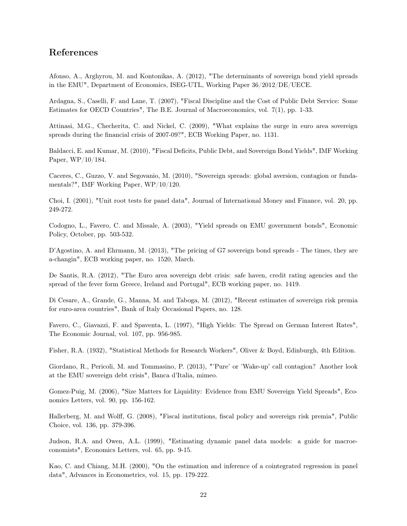## References

Afonso, A., Arghyrou, M. and Kontonikas, A. (2012), "The determinants of sovereign bond yield spreads in the EMU", Department of Economics, ISEG-UTL, Working Paper 36/2012/DE/UECE.

Ardagna, S., Caselli, F. and Lane, T. (2007), "Fiscal Discipline and the Cost of Public Debt Service: Some Estimates for OECD Countries", The B.E. Journal of Macroeconomics, vol. 7(1), pp. 1-33.

Attinasi, M.G., Checherita, C. and Nickel, C. (2009), "What explains the surge in euro area sovereign spreads during the financial crisis of 2007-09?", ECB Working Paper, no. 1131.

Baldacci, E. and Kumar, M. (2010), "Fiscal Deficits, Public Debt, and Sovereign Bond Yields", IMF Working Paper, WP/10/184.

Caceres, C., Guzzo, V. and Segovanio, M. (2010), "Sovereign spreads: global aversion, contagion or fundamentals?", IMF Working Paper, WP/10/120.

Choi, I. (2001), "Unit root tests for panel data", Journal of International Money and Finance, vol. 20, pp. 249-272.

Codogno, L., Favero, C. and Missale, A. (2003), "Yield spreads on EMU government bonds", Economic Policy, October, pp. 503-532.

D'Agostino, A. and Ehrmann, M. (2013), "The pricing of G7 sovereign bond spreads - The times, they are a-changin", ECB working paper, no. 1520, March.

De Santis, R.A. (2012), "The Euro area sovereign debt crisis: safe haven, credit rating agencies and the spread of the fever form Greece, Ireland and Portugal", ECB working paper, no. 1419.

Di Cesare, A., Grande, G., Manna, M. and Taboga, M. (2012), "Recent estimates of sovereign risk premia for euro-area countries", Bank of Italy Occasional Papers, no. 128.

Favero, C., Giavazzi, F. and Spaventa, L. (1997), "High Yields: The Spread on German Interest Rates", The Economic Journal, vol. 107, pp. 956-985.

Fisher, R.A. (1932), "Statistical Methods for Research Workers", Oliver & Boyd, Edinburgh, 4th Edition.

Giordano, R., Pericoli, M. and Tommasino, P. (2013), "'Pure' or 'Wake-up' call contagion? Another look at the EMU sovereign debt crisis", Banca d'Italia, mimeo.

Gomez-Puig, M. (2006), "Size Matters for Liquidity: Evidence from EMU Sovereign Yield Spreads", Economics Letters, vol. 90, pp. 156-162.

Hallerberg, M. and Wolff, G. (2008), "Fiscal institutions, fiscal policy and sovereign risk premia", Public Choice, vol. 136, pp. 379-396.

Judson, R.A. and Owen, A.L. (1999), "Estimating dynamic panel data models: a guide for macroeconomists", Economics Letters, vol. 65, pp. 9-15.

Kao, C. and Chiang, M.H. (2000), "On the estimation and inference of a cointegrated regression in panel data", Advances in Econometrics, vol. 15, pp. 179-222.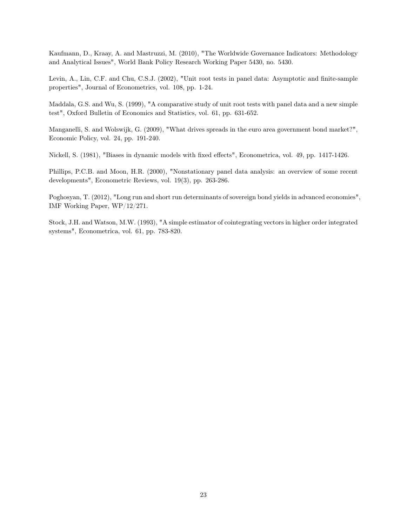Kaufmann, D., Kraay, A. and Mastruzzi, M. (2010), "The Worldwide Governance Indicators: Methodology and Analytical Issues", World Bank Policy Research Working Paper 5430, no. 5430.

Levin, A., Lin, C.F. and Chu, C.S.J. (2002), "Unit root tests in panel data: Asymptotic and finite-sample properties", Journal of Econometrics, vol. 108, pp. 1-24.

Maddala, G.S. and Wu, S. (1999), "A comparative study of unit root tests with panel data and a new simple test", Oxford Bulletin of Economics and Statistics, vol. 61, pp. 631-652.

Manganelli, S. and Wolswijk, G. (2009), "What drives spreads in the euro area government bond market?", Economic Policy, vol. 24, pp. 191-240.

Nickell, S. (1981), "Biases in dynamic models with fixed effects", Econometrica, vol. 49, pp. 1417-1426.

Phillips, P.C.B. and Moon, H.R. (2000), "Nonstationary panel data analysis: an overview of some recent developments", Econometric Reviews, vol. 19(3), pp. 263-286.

Poghosyan, T. (2012), "Long run and short run determinants of sovereign bond yields in advanced economies", IMF Working Paper, WP/12/271.

Stock, J.H. and Watson, M.W. (1993), "A simple estimator of cointegrating vectors in higher order integrated systems", Econometrica, vol. 61, pp. 783-820.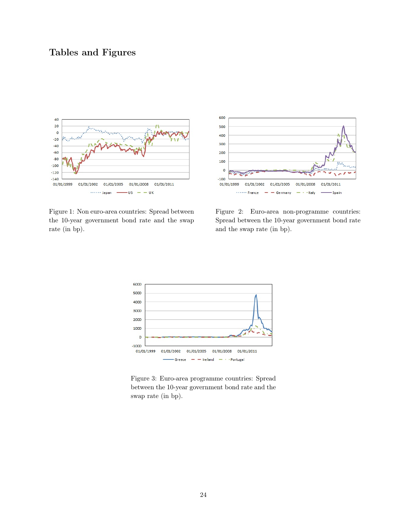## Tables and Figures



Figure 1: Non euro-area countries: Spread between the 10-year government bond rate and the swap rate (in bp).



Figure 2: Euro-area non-programme countries: Spread between the 10-year government bond rate and the swap rate (in bp).



Figure 3: Euro-area programme countries: Spread between the 10-year government bond rate and the swap rate (in bp).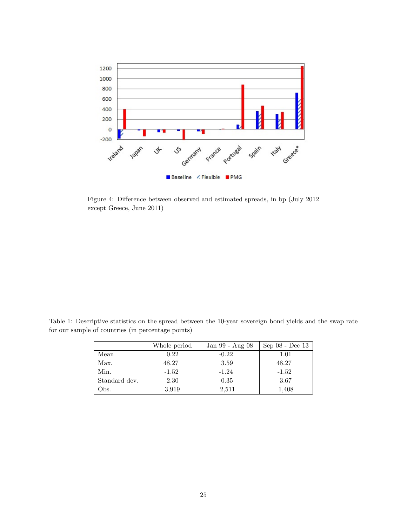

Figure 4: Difference between observed and estimated spreads, in bp (July 2012 except Greece, June 2011)

Table 1: Descriptive statistics on the spread between the 10-year sovereign bond yields and the swap rate for our sample of countries (in percentage points)

|               | Whole period | Jan 99 - Aug 08 | Sep 08 - Dec 13 |
|---------------|--------------|-----------------|-----------------|
| Mean          | 0.22         | $-0.22$         | 1.01            |
| Max.          | 48.27        | 3.59            | 48.27           |
| Min.          | $-1.52$      | $-1.24$         | $-1.52$         |
| Standard dev. | 2.30         | 0.35            | 3.67            |
| Obs.          | 3,919        | 2,511           | 1,408           |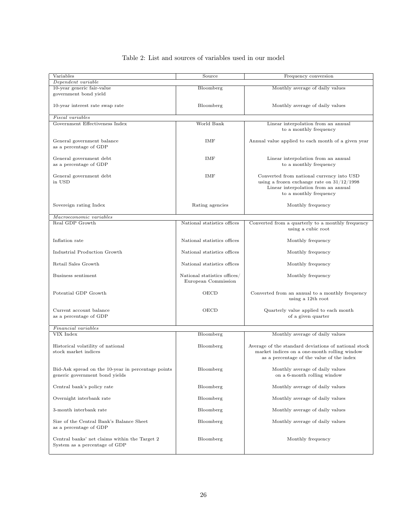### Table 2: List and sources of variables used in our model

| Variables                                          | Source                       |                                                      |
|----------------------------------------------------|------------------------------|------------------------------------------------------|
|                                                    |                              | Frequency conversion                                 |
| Dependent variable                                 |                              |                                                      |
| 10-year generic fair-value                         | Bloomberg                    | Monthly average of daily values                      |
| government bond yield                              |                              |                                                      |
|                                                    |                              |                                                      |
| 10-year interest rate swap rate                    | Bloomberg                    | Monthly average of daily values                      |
|                                                    |                              |                                                      |
| <b>Fiscal</b> variables                            |                              |                                                      |
| Government Effectiveness Index                     | World Bank                   | Linear interpolation from an annual                  |
|                                                    |                              | to a monthly frequency                               |
|                                                    |                              |                                                      |
| General government balance                         | IMF                          | Annual value applied to each month of a given year   |
| as a percentage of GDP                             |                              |                                                      |
|                                                    |                              |                                                      |
| General government debt                            | IMF                          | Linear interpolation from an annual                  |
| as a percentage of GDP                             |                              | to a monthly frequency                               |
|                                                    |                              |                                                      |
|                                                    |                              |                                                      |
| General government debt                            | IMF                          | Converted from national currency into USD            |
| in USD                                             |                              | using a frozen exchange rate on $31/12/1998$         |
|                                                    |                              | Linear interpolation from an annual                  |
|                                                    |                              | to a monthly frequency                               |
|                                                    |                              |                                                      |
| Sovereign rating Index                             | Rating agencies              | Monthly frequency                                    |
|                                                    |                              |                                                      |
| Macroeconomic variables                            |                              |                                                      |
| Real GDP Growth                                    | National statistics offices  | Converted from a quarterly to a monthly frequency    |
|                                                    |                              | using a cubic root                                   |
|                                                    |                              |                                                      |
| Inflation rate                                     | National statistics offices  |                                                      |
|                                                    |                              | Monthly frequency                                    |
|                                                    |                              |                                                      |
| Industrial Production Growth                       | National statistics offices  | Monthly frequency                                    |
|                                                    |                              |                                                      |
| Retail Sales Growth                                | National statistics offices  | Monthly frequency                                    |
|                                                    |                              |                                                      |
| Business sentiment                                 | National statistics offices/ | Monthly frequency                                    |
|                                                    | European Commission          |                                                      |
|                                                    |                              |                                                      |
| Potential GDP Growth                               | OECD                         | Converted from an annual to a monthly frequency      |
|                                                    |                              | using a 12th root                                    |
|                                                    |                              |                                                      |
| Current account balance                            | OECD                         | Quarterly value applied to each month                |
| as a percentage of GDP                             |                              | of a given quarter                                   |
|                                                    |                              |                                                      |
| Financial variables                                |                              |                                                      |
| VIX Index                                          | Bloomberg                    | Monthly average of daily values                      |
|                                                    |                              |                                                      |
|                                                    |                              |                                                      |
| Historical volatility of national                  | Bloomberg                    | Average of the standard deviations of national stock |
| stock market indices                               |                              | market indices on a one-month rolling window         |
|                                                    |                              | as a percentage of the value of the index            |
|                                                    |                              |                                                      |
| Bid-Ask spread on the 10-year in percentage points | Bloomberg                    | Monthly average of daily values                      |
| generic government bond yields                     |                              | on a 6-month rolling window                          |
|                                                    |                              |                                                      |
| Central bank's policy rate                         | Bloomberg                    | Monthly average of daily values                      |
|                                                    |                              |                                                      |
| Overnight interbank rate                           | Bloomberg                    | Monthly average of daily values                      |
|                                                    |                              |                                                      |
| 3-month interbank rate                             | Bloomberg                    | Monthly average of daily values                      |
|                                                    |                              |                                                      |
| Size of the Central Bank's Balance Sheet           | Bloomberg                    | Monthly average of daily values                      |
|                                                    |                              |                                                      |
| as a percentage of GDP                             |                              |                                                      |
|                                                    |                              |                                                      |
| Central banks' net claims within the Target 2      | Bloomberg                    | Monthly frequency                                    |
| System as a percentage of GDP                      |                              |                                                      |
|                                                    |                              |                                                      |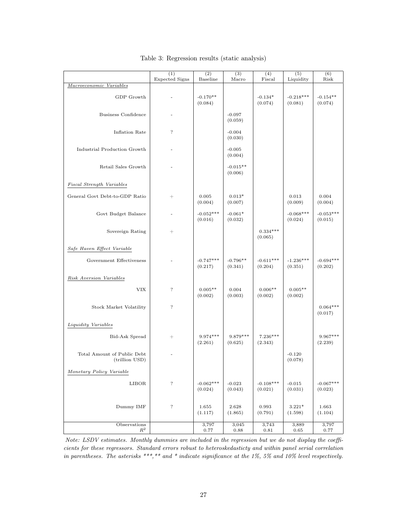|                                               | (1)<br>Expected Signs | (2)<br>Baseline        | (3)<br>Macro          | (4)<br>Fiscal          | $\overline{(5)}$<br>Liquidity | (6)<br>Risk            |
|-----------------------------------------------|-----------------------|------------------------|-----------------------|------------------------|-------------------------------|------------------------|
| Macroeconomic Variables                       |                       |                        |                       |                        |                               |                        |
| GDP Growth                                    |                       | $-0.170**$<br>(0.084)  |                       | $-0.134*$<br>(0.074)   | $-0.218***$<br>(0.081)        | $-0.154**$<br>(0.074)  |
| <b>Business Confidence</b>                    |                       |                        | $-0.097$<br>(0.059)   |                        |                               |                        |
| Inflation Rate                                | $\overline{\cdot}$    |                        | $-0.004$<br>(0.030)   |                        |                               |                        |
| Industrial Production Growth                  |                       |                        | $-0.005$<br>(0.004)   |                        |                               |                        |
| Retail Sales Growth                           |                       |                        | $-0.015**$<br>(0.006) |                        |                               |                        |
| Fiscal Strength Variables                     |                       |                        |                       |                        |                               |                        |
| General Govt Debt-to-GDP Ratio                |                       | 0.005<br>(0.004)       | $0.013*$<br>(0.007)   |                        | 0.013<br>(0.009)              | 0.004<br>(0.004)       |
| Govt Budget Balance                           |                       | $-0.052***$<br>(0.016) | $-0.061*$<br>(0.032)  |                        | $-0.068***$<br>(0.024)        | $-0.053***$<br>(0.015) |
| Sovereign Rating                              | $^{+}$                |                        |                       | $0.334***$<br>(0.065)  |                               |                        |
| Safe Haven Effect Variable                    |                       |                        |                       |                        |                               |                        |
| Government Effectiveness                      |                       | $-0.747***$<br>(0.217) | $-0.796**$<br>(0.341) | $-0.611***$<br>(0.204) | $-1.236***$<br>(0.351)        | $-0.694***$<br>(0.202) |
| Risk Aversion Variables                       |                       |                        |                       |                        |                               |                        |
| VIX                                           | $\overline{\cdot}$    | $0.005**$<br>(0.002)   | 0.004<br>(0.003)      | $0.006**$<br>(0.002)   | $0.005**$<br>(0.002)          |                        |
| Stock Market Volatility                       | $\overline{\cdot}$    |                        |                       |                        |                               | $0.064***$<br>(0.017)  |
| Liquidity Variables                           |                       |                        |                       |                        |                               |                        |
| Bid-Ask Spread                                | $^{+}$                | 9.974***<br>(2.261)    | $9.879***$<br>(0.625) | $7.236***$<br>(2.343)  |                               | $9.967***$<br>(2.239)  |
| Total Amount of Public Debt<br>(trillion USD) |                       |                        |                       |                        | $-0.120$<br>(0.078)           |                        |
| Monetary Policy Variable                      |                       |                        |                       |                        |                               |                        |
| LIBOR                                         | $\overline{\cdot}$    | $-0.062***$<br>(0.024) | $-0.023$<br>(0.043)   | $-0.108***$<br>(0.021) | $-0.015$<br>(0.031)           | $-0.067***$<br>(0.023) |
| Dummy IMF                                     | $\, ?$                | $1.655\,$<br>(1.117)   | 2.628<br>(1.865)      | 0.993<br>(0.791)       | $3.221*$<br>(1.598)           | 1.663<br>(1.104)       |
| Observations<br>$\mathbb{R}^2$                |                       | 3,797<br>0.77          | 3,045<br>$\rm 0.88$   | 3,743<br>$\rm 0.81$    | 3,889<br>$\rm 0.65$           | 3,797<br>0.77          |

Table 3: Regression results (static analysis)

Note: LSDV estimates. Monthly dummies are included in the regression but we do not display the coefficients for these regressors. Standard errors robust to heteroskedasticty and within panel serial correlation in parentheses. The asterisks \*\*\*,\*\* and \* indicate significance at the 1%, 5% and 10% level respectively.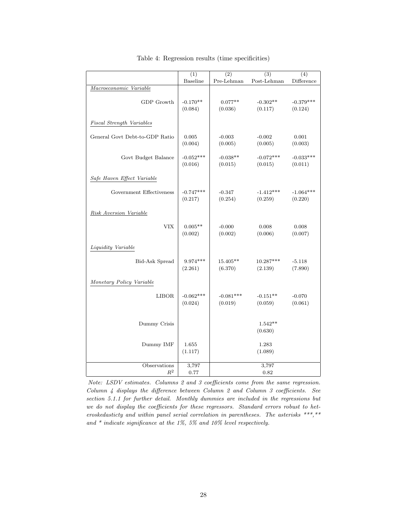|                                | (1)             | $\overline{(2)}$       | (3)         | $\overline{(4)}$ |
|--------------------------------|-----------------|------------------------|-------------|------------------|
|                                | <b>Baseline</b> | Pre-Lehman             | Post-Lehman | Difference       |
| Macroeconomic Variable         |                 |                        |             |                  |
|                                |                 |                        |             |                  |
| GDP Growth                     | $-0.170**$      | $0.077**$              | $-0.302**$  | $-0.379***$      |
|                                | (0.084)         | (0.036)                | (0.117)     | (0.124)          |
|                                |                 |                        |             |                  |
| Fiscal Strength Variables      |                 |                        |             |                  |
|                                |                 |                        |             |                  |
| General Govt Debt-to-GDP Ratio | 0.005           | $-0.003$               | $-0.002$    | 0.001            |
|                                | (0.004)         | (0.005)                | (0.005)     | (0.003)          |
|                                |                 |                        |             |                  |
| Govt Budget Balance            | $-0.052***$     | $-0.038**$             | $-0.072***$ | $-0.033***$      |
|                                | (0.016)         | (0.015)                | (0.015)     | (0.011)          |
|                                |                 |                        |             |                  |
| Safe Haven Effect Variable     |                 |                        |             |                  |
|                                |                 |                        |             |                  |
| Government Effectiveness       | $-0.747***$     | $-0.347$               | $-1.412***$ | $-1.064***$      |
|                                | (0.217)         | (0.254)                | (0.259)     | (0.220)          |
|                                |                 |                        |             |                  |
| Risk Aversion Variable         |                 |                        |             |                  |
|                                |                 |                        |             |                  |
| <b>VIX</b>                     | $0.005**$       | $-0.000$               | 0.008       | 0.008            |
|                                | (0.002)         | (0.002)                | (0.006)     | (0.007)          |
|                                |                 |                        |             |                  |
| Liquidity Variable             |                 |                        |             |                  |
|                                |                 |                        |             |                  |
| Bid-Ask Spread                 | $9.974***$      | 15.405**               | 10.287***   | $-5.118$         |
|                                | (2.261)         | (6.370)                | (2.139)     | (7.890)          |
|                                |                 |                        |             |                  |
| Monetary Policy Variable       |                 |                        |             |                  |
|                                |                 |                        |             |                  |
| <b>LIBOR</b>                   | $-0.062***$     | $-0.081***$<br>(0.019) | $-0.151**$  | $-0.070$         |
|                                | (0.024)         |                        | (0.059)     | (0.061)          |
|                                |                 |                        |             |                  |
| Dummy Crisis                   |                 |                        | $1.542**$   |                  |
|                                |                 |                        | (0.630)     |                  |
|                                |                 |                        |             |                  |
| Dummy IMF                      | 1.655           |                        | 1.283       |                  |
|                                | (1.117)         |                        | (1.089)     |                  |
|                                |                 |                        |             |                  |
| Observations                   | 3,797           |                        | 3,797       |                  |
| $\mathbb{R}^2$                 | 0.77            |                        | 0.82        |                  |
|                                |                 |                        |             |                  |

Table 4: Regression results (time specificities)

Note: LSDV estimates. Columns 2 and 3 coefficients come from the same regression. Column 4 displays the difference between Column 2 and Column 3 coefficients. See section 5.1.1 for further detail. Monthly dummies are included in the regressions but we do not display the coefficients for these regressors. Standard errors robust to heteroskedasticty and within panel serial correlation in parentheses. The asterisks \*\*\*,\*\* and  $*$  indicate significance at the 1%, 5% and 10% level respectively.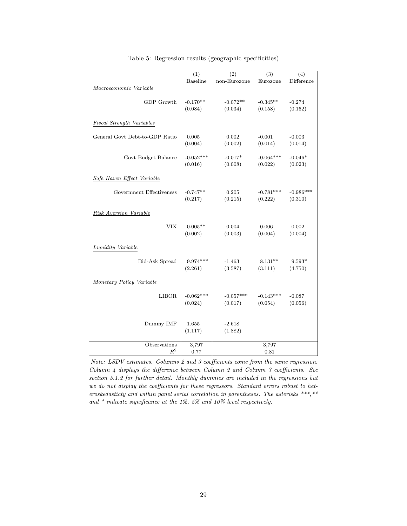|                                | $\overline{(1)}$ | (2)          | $\overline{(3)}$ | (4)         |
|--------------------------------|------------------|--------------|------------------|-------------|
|                                | Baseline         | non-Eurozone | Eurozone         | Difference  |
| Macroeconomic Variable         |                  |              |                  |             |
|                                |                  |              |                  |             |
| GDP Growth                     | $-0.170**$       | $-0.072**$   | $-0.345**$       | $-0.274$    |
|                                | (0.084)          | (0.034)      | (0.158)          | (0.162)     |
|                                |                  |              |                  |             |
| Fiscal Strength Variables      |                  |              |                  |             |
|                                |                  |              |                  |             |
| General Govt Debt-to-GDP Ratio | 0.005            | 0.002        | $-0.001$         | $-0.003$    |
|                                | (0.004)          | (0.002)      | (0.014)          | (0.014)     |
|                                |                  |              |                  |             |
| Govt Budget Balance            | $-0.052***$      | $-0.017*$    | $-0.064***$      | $-0.046*$   |
|                                | (0.016)          | (0.008)      | (0.022)          | (0.023)     |
|                                |                  |              |                  |             |
| Safe Haven Effect Variable     |                  |              |                  |             |
|                                |                  |              |                  |             |
| Government Effectiveness       | $-0.747**$       | 0.205        | $-0.781***$      | $-0.986***$ |
|                                | (0.217)          | (0.215)      | (0.222)          | (0.310)     |
|                                |                  |              |                  |             |
| Risk Aversion Variable         |                  |              |                  |             |
|                                |                  |              |                  |             |
| <b>VIX</b>                     | $0.005**$        | 0.004        | 0.006            | 0.002       |
|                                | (0.002)          | (0.003)      | (0.004)          | (0.004)     |
|                                |                  |              |                  |             |
| Liquidity Variable             |                  |              |                  |             |
|                                |                  |              |                  |             |
| <b>Bid-Ask Spread</b>          | $9.974***$       | $-1.463$     | $8.131**$        | $9.593*$    |
|                                | (2.261)          | (3.587)      | (3.111)          | (4.750)     |
|                                |                  |              |                  |             |
| Monetary Policy Variable       |                  |              |                  |             |
|                                |                  |              |                  |             |
| <b>LIBOR</b>                   | $-0.062***$      | $-0.057***$  | $-0.143***$      | $-0.087$    |
|                                | (0.024)          | (0.017)      | (0.054)          | (0.056)     |
|                                |                  |              |                  |             |
|                                |                  |              |                  |             |
| Dummy IMF                      | 1.655            | $-2.618$     |                  |             |
|                                | (1.117)          | (1.882)      |                  |             |
|                                |                  |              |                  |             |
| Observations                   | 3,797            |              | 3,797            |             |
| $R^2$                          | 0.77             |              | 0.81             |             |

|  |  | Table 5: Regression results (geographic specificities) |  |
|--|--|--------------------------------------------------------|--|
|  |  |                                                        |  |

Note: LSDV estimates. Columns 2 and 3 coefficients come from the same regression. Column 4 displays the difference between Column 2 and Column 3 coefficients. See section 5.1.2 for further detail. Monthly dummies are included in the regressions but we do not display the coefficients for these regressors. Standard errors robust to heteroskedasticty and within panel serial correlation in parentheses. The asterisks  $***$ ,  $**$ and  $*$  indicate significance at the 1%, 5% and 10% level respectively.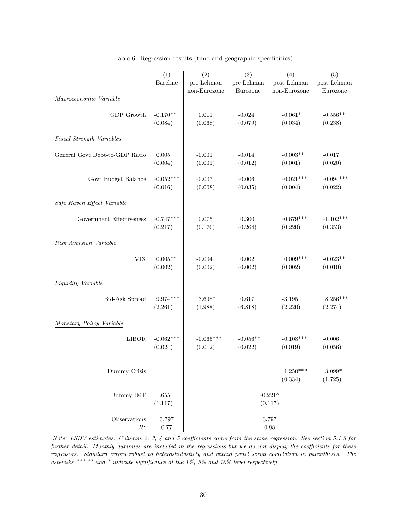|                                                              | (1)                  | (2)                  | (3)        | (4)                   | (5)                       |  |  |  |
|--------------------------------------------------------------|----------------------|----------------------|------------|-----------------------|---------------------------|--|--|--|
|                                                              | Baseline             | pre-Lehman           | pre-Lehman | post-Lehman           | post-Lehman               |  |  |  |
|                                                              |                      | non-Eurozone         | Eurozone   | $non-Eurozone$        | Eurozone                  |  |  |  |
| Macroeconomic Variable                                       |                      |                      |            |                       |                           |  |  |  |
| GDP Growth                                                   | $-0.170**$           | $0.011\,$            | $-0.024$   | $-0.061*$             | $-0.556**$                |  |  |  |
|                                                              | (0.084)              | (0.068)              | (0.079)    | (0.034)               | (0.238)                   |  |  |  |
| Fiscal Strength Variables                                    |                      |                      |            |                       |                           |  |  |  |
| General Govt Debt-to-GDP Ratio                               | 0.005                | $-0.001$             | $-0.014$   | $-0.003**$            | $-0.017$                  |  |  |  |
|                                                              | (0.004)              | (0.001)              | (0.012)    | (0.001)               | (0.020)                   |  |  |  |
| Govt Budget Balance                                          | $-0.052***$          | $-0.007$             | $-0.006$   | $-0.021***$           | $-0.094***$               |  |  |  |
|                                                              | (0.016)              | (0.008)              | (0.035)    | (0.004)               | (0.022)                   |  |  |  |
| Safe Haven Effect Variable                                   |                      |                      |            |                       |                           |  |  |  |
| Government Effectiveness                                     | $-0.747***$          | 0.075                | 0.300      | $-0.679***$           | $-1.102***$               |  |  |  |
|                                                              | (0.217)              | (0.170)              | (0.264)    | (0.220)               | (0.353)                   |  |  |  |
| Risk Aversion Variable                                       |                      |                      |            |                       |                           |  |  |  |
| <b>VIX</b>                                                   | $0.005**$            | $-0.004$             | 0.002      | $0.009***$            | $-0.023**$                |  |  |  |
|                                                              | (0.002)              | (0.002)              | (0.002)    | (0.002)               | (0.010)                   |  |  |  |
| Liquidity Variable                                           |                      |                      |            |                       |                           |  |  |  |
| Bid-Ask Spread                                               | $9.974***$           | $3.698*$             | 0.617      | $-3.195$              | $8.256***$                |  |  |  |
|                                                              | (2.261)              | (1.988)              | (6.818)    | (2.220)               | (2.274)                   |  |  |  |
| Monetary Policy Variable                                     |                      |                      |            |                       |                           |  |  |  |
| <b>LIBOR</b>                                                 | $-0.062***$          | $-0.065***$          | $-0.056**$ | $-0.108***$           | $-0.006$                  |  |  |  |
|                                                              | (0.024)              | (0.012)              | (0.022)    | (0.019)               | (0.056)                   |  |  |  |
| Dummy Crisis                                                 |                      |                      |            | $1.250***$<br>(0.334) | $3.099^{\ast}$<br>(1.725) |  |  |  |
| Dummy IMF                                                    | $1.655\,$<br>(1.117) | $-0.221*$<br>(0.117) |            |                       |                           |  |  |  |
| $\begin{minipage}{.4\linewidth} Observations \end{minipage}$ | 3,797                |                      | 3,797      |                       |                           |  |  |  |
| $\mathbb{R}^2$                                               | $0.77\,$             |                      | 0.88       |                       |                           |  |  |  |

Table 6: Regression results (time and geographic specificities)

Note: LSDV estimates. Columns 2, 3, 4 and 5 coefficients come from the same regression. See section 5.1.3 for further detail. Monthly dummies are included in the regressions but we do not display the coefficients for these regressors. Standard errors robust to heteroskedasticty and within panel serial correlation in parentheses. The asterisks \*\*\*,\*\* and \* indicate significance at the 1%, 5% and 10% level respectively.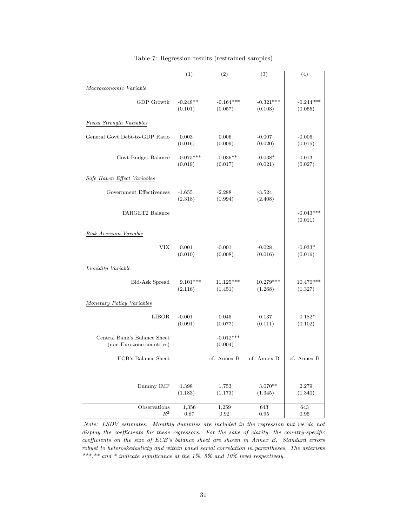|                                                          | (1)                    | (2)                    | (3)                    | (4)                    |
|----------------------------------------------------------|------------------------|------------------------|------------------------|------------------------|
| Macroeconomic Variable                                   |                        |                        |                        |                        |
| GDP Growth                                               | $-0.248**$<br>(0.101)  | $-0.164***$<br>(0.057) | $-0.321***$<br>(0.103) | $-0.244***$<br>(0.055) |
| <b>Fiscal Strength Variables</b>                         |                        |                        |                        |                        |
| General Govt Debt-to-GDP Ratio                           | 0.003<br>(0.016)       | 0.006<br>(0.009)       | $-0.007$<br>(0.020)    | $-0.006$<br>(0.015)    |
| Govt Budget Balance                                      | $-0.075***$<br>(0.019) | $-0.036**$<br>(0.017)  | $-0.038*$<br>(0.021)   | 0.013<br>(0.027)       |
| Safe Haven Effect Variables                              |                        |                        |                        |                        |
| Government Effectiveness                                 | $-1.655$<br>(2.318)    | $-2.288$<br>(1.994)    | $-3.524$<br>(2.408)    |                        |
| TARGET2 Balance                                          |                        |                        |                        | $-0.043***$<br>(0.011) |
| Risk Aversion Variable                                   |                        |                        |                        |                        |
| <b>VIX</b>                                               | 0.001<br>(0.010)       | $-0.001$<br>(0.008)    | $-0.028$<br>(0.016)    | $-0.033*$<br>(0.016)   |
| Liquidity Variable                                       |                        |                        |                        |                        |
| <b>Bid-Ask Spread</b>                                    | $9.101***$<br>(2.116)  | $11.125***$<br>(1.451) | 10.279***<br>(1.268)   | 10.470***<br>(1.327)   |
| Monetary Policy Variables                                |                        |                        |                        |                        |
| <b>LIBOR</b>                                             | $-0.001$<br>(0.091)    | 0.045<br>(0.077)       | 0.137<br>(0.111)       | $0.182*$<br>(0.102)    |
| Central Bank's Balance Sheet<br>(non-Eurozone countries) |                        | $-0.012***$<br>(0.004) |                        |                        |
| ECB's Balance Sheet                                      |                        | cf. Annex B            | cf. Annex B            | cf. Annex B            |
| Dummy IMF                                                | 1.398<br>(1.183)       | 1.753<br>(1.173)       | $3.070**$<br>(1.345)   | 2.279<br>(1.340)       |
| Observations<br>$R^2$                                    | 1,356<br>0.87          | 1,259<br>0.92          | 643<br>0.95            | 643<br>0.95            |

Table 7: Regression results (restrained samples)

Note: LSDV estimates. Monthly dummies are included in the regression but we do not display the coefficients for these regressors. For the sake of clarity, the country-specific coefficients on the size of ECB's balance sheet are shown in Annex B. Standard errors robust to heteroskedasticty and within panel serial correlation in parentheses. The asterisks  $^{***},^{**}$  and  $^{*}$  indicate significance at the 1%, 5% and 10% level respectively.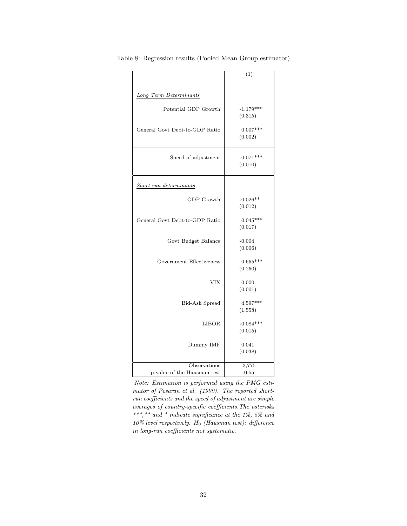|                                             | (1)                    |
|---------------------------------------------|------------------------|
| Long Term Determinants                      |                        |
| Potential GDP Growth                        | $-1.179***$<br>(0.315) |
| General Govt Debt-to-GDP Ratio              | $0.007***$<br>(0.002)  |
| Speed of adjustment                         | $-0.071***$<br>(0.010) |
| Short run determinants                      |                        |
| GDP Growth                                  | $-0.026**$<br>(0.012)  |
| General Govt Debt-to-GDP Ratio              | $0.045***$<br>(0.017)  |
| Govt Budget Balance                         | $-0.004$<br>(0.006)    |
| Government Effectiveness                    | $0.655***$<br>(0.250)  |
| <b>VIX</b>                                  | 0.000<br>(0.001)       |
| Bid-Ask Spread                              | $4.597***$<br>(1.558)  |
| <b>LIBOR</b>                                | $-0.084***$<br>(0.015) |
| Dummy IMF                                   | 0.041<br>(0.038)       |
| Observations<br>p-value of the Hausman test | 3,775<br>0.55          |

Table 8: Regression results (Pooled Mean Group estimator)

Note: Estimation is performed using the PMG estimator of Pesaran et al. (1999). The reported shortrun coefficients and the speed of adjustment are simple averages of country-specific coefficients.The asterisks \*\*\*,\*\* and \* indicate significance at the  $1\%$ , 5% and  $10\%$  level respectively.  $H_0$  (Hausman test): difference in long-run coefficients not systematic.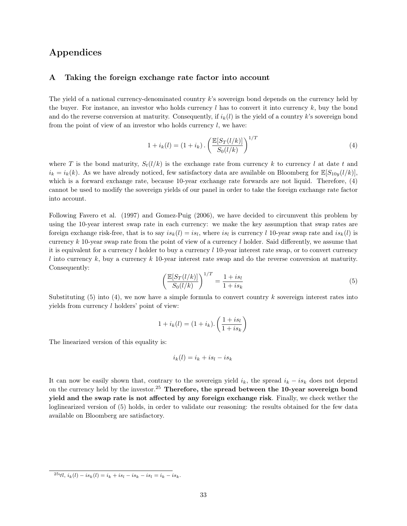## Appendices

#### A Taking the foreign exchange rate factor into account

The yield of a national currency-denominated country k's sovereign bond depends on the currency held by the buyer. For instance, an investor who holds currency  $l$  has to convert it into currency  $k$ , buy the bond and do the reverse conversion at maturity. Consequently, if  $i_k(l)$  is the yield of a country k's sovereign bond from the point of view of an investor who holds currency  $l$ , we have:

$$
1 + i_k(l) = (1 + i_k) \cdot \left(\frac{\mathbb{E}[S_T(l/k)]}{S_0(l/k)}\right)^{1/T}
$$
\n(4)

where T is the bond maturity,  $S_t(l/k)$  is the exchange rate from currency k to currency l at date t and  $i_k = i_k(k)$ . As we have already noticed, few satisfactory data are available on Bloomberg for  $\mathbb{E}[S_{10y}(l/k)]$ , which is a forward exchange rate, because 10-year exchange rate forwards are not liquid. Therefore, (4) cannot be used to modify the sovereign yields of our panel in order to take the foreign exchange rate factor into account.

Following Favero et al. (1997) and Gomez-Puig (2006), we have decided to circumvent this problem by using the 10-year interest swap rate in each currency: we make the key assumption that swap rates are foreign exchange risk-free, that is to say  $is_k(l) = is_l$ , where  $is_l$  is currency l 10-year swap rate and  $is_k(l)$  is currency  $k$  10-year swap rate from the point of view of a currency  $l$  holder. Said differently, we assume that it is equivalent for a currency l holder to buy a currency l 10-year interest rate swap, or to convert currency l into currency k, buy a currency k 10-year interest rate swap and do the reverse conversion at maturity. Consequently:

$$
\left(\frac{\mathbb{E}[S_T(l/k)]}{S_0(l/k)}\right)^{1/T} = \frac{1+is_l}{1+is_k} \tag{5}
$$

Substituting  $(5)$  into  $(4)$ , we now have a simple formula to convert country k sovereign interest rates into yields from currency l holders' point of view:

$$
1 + i_k(l) = (1 + i_k) \cdot \left(\frac{1 + i s_l}{1 + i s_k}\right)
$$

The linearized version of this equality is:

$$
i_k(l) = i_k + is_l - is_k
$$

It can now be easily shown that, contrary to the sovereign yield  $i_k$ , the spread  $i_k - i s_k$  does not depend on the currency held by the investor.<sup>25</sup> Therefore, the spread between the 10-year sovereign bond yield and the swap rate is not affected by any foreign exchange risk. Finally, we check wether the loglinearized version of (5) holds, in order to validate our reasoning: the results obtained for the few data available on Bloomberg are satisfactory.

<sup>25∀</sup>l,  $i_k(l) - is_k(l) = i_k + is_l - is_k - is_l = i_k - is_k.$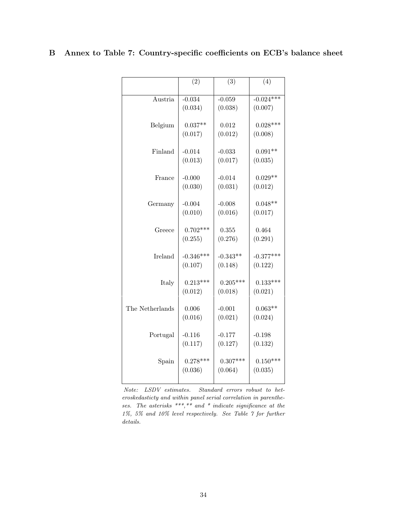|  |  |  | B Annex to Table 7: Country-specific coefficients on ECB's balance sheet |  |  |  |
|--|--|--|--------------------------------------------------------------------------|--|--|--|
|--|--|--|--------------------------------------------------------------------------|--|--|--|

|                 | (2)                    | (3)                   | $\overline{(4)}$       |
|-----------------|------------------------|-----------------------|------------------------|
| Austria         | $-0.034$               | $-0.059$              | $-0.024***$            |
|                 | (0.034)                | (0.038)               | (0.007)                |
|                 |                        |                       |                        |
| Belgium         | $0.037**$<br>(0.017)   | 0.012<br>(0.012)      | $0.028***$<br>(0.008)  |
|                 |                        |                       |                        |
| Finland         | $-0.014$               | $-0.033$              | $0.091**$              |
|                 | (0.013)                | (0.017)               | (0.035)                |
| France          | $-0.000$               | $-0.014$              | $0.029**$              |
|                 | (0.030)                | (0.031)               | (0.012)                |
|                 |                        |                       |                        |
| Germany         | $-0.004$               | $-0.008$              | $0.048**$              |
|                 | (0.010)                | (0.016)               | (0.017)                |
| Greece          | $0.702***$             | 0.355                 | 0.464                  |
|                 | (0.255)                | (0.276)               | (0.291)                |
|                 |                        |                       |                        |
| Ireland         | $-0.346***$<br>(0.107) | $-0.343**$<br>(0.148) | $-0.377***$<br>(0.122) |
|                 |                        |                       |                        |
| Italy           | $0.213***$             | $0.205***$            | $0.133***$             |
|                 | (0.012)                | (0.018)               | (0.021)                |
| The Netherlands | 0.006                  | $-0.001$              | $0.063**$              |
|                 | (0.016)                | (0.021)               | (0.024)                |
|                 |                        |                       |                        |
| Portugal        | $-0.116$               | $-0.177$              | $-0.198$               |
|                 | (0.117)                | (0.127)               | (0.132)                |
| Spain           | $0.278***$             | $0.307***$            | $0.150***$             |
|                 | (0.036)                | (0.064)               | (0.035)                |
|                 |                        |                       |                        |

Note: LSDV estimates. Standard errors robust to heteroskedasticty and within panel serial correlation in parentheses. The asterisks  $***$ ,  $**$  and  $*$  indicate significance at the 1%, 5% and 10% level respectively. See Table 7 for further details.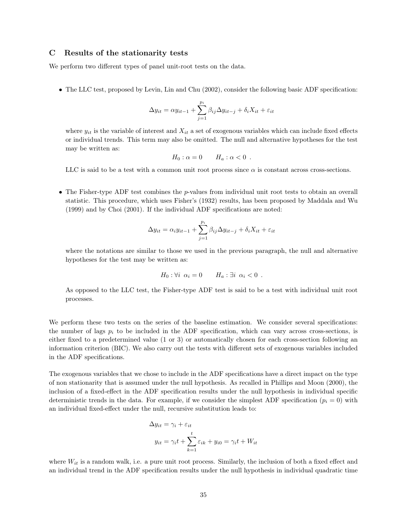#### C Results of the stationarity tests

We perform two different types of panel unit-root tests on the data.

• The LLC test, proposed by Levin, Lin and Chu (2002), consider the following basic ADF specification:

$$
\Delta y_{it} = \alpha y_{it-1} + \sum_{j=1}^{p_i} \beta_{ij} \Delta y_{it-j} + \delta_i X_{it} + \varepsilon_{it}
$$

where  $y_{it}$  is the variable of interest and  $X_{it}$  a set of exogenous variables which can include fixed effects or individual trends. This term may also be omitted. The null and alternative hypotheses for the test may be written as:

$$
H_0: \alpha = 0 \qquad H_a: \alpha < 0 \; .
$$

LLC is said to be a test with a common unit root process since  $\alpha$  is constant across cross-sections.

• The Fisher-type ADF test combines the  $p$ -values from individual unit root tests to obtain an overall statistic. This procedure, which uses Fisher's (1932) results, has been proposed by Maddala and Wu (1999) and by Choi (2001). If the individual ADF specifications are noted:

$$
\Delta y_{it} = \alpha_i y_{it-1} + \sum_{j=1}^{p_i} \beta_{ij} \Delta y_{it-j} + \delta_i X_{it} + \varepsilon_{it}
$$

where the notations are similar to those we used in the previous paragraph, the null and alternative hypotheses for the test may be written as:

$$
H_0: \forall i \ \alpha_i = 0 \qquad H_a: \exists i \ \alpha_i < 0 \ .
$$

As opposed to the LLC test, the Fisher-type ADF test is said to be a test with individual unit root processes.

We perform these two tests on the series of the baseline estimation. We consider several specifications: the number of lags  $p_i$  to be included in the ADF specification, which can vary across cross-sections, is either fixed to a predetermined value (1 or 3) or automatically chosen for each cross-section following an information criterion (BIC). We also carry out the tests with different sets of exogenous variables included in the ADF specifications.

The exogenous variables that we chose to include in the ADF specifications have a direct impact on the type of non stationarity that is assumed under the null hypothesis. As recalled in Phillips and Moon (2000), the inclusion of a fixed-effect in the ADF specification results under the null hypothesis in individual specific deterministic trends in the data. For example, if we consider the simplest ADF specification ( $p_i = 0$ ) with an individual fixed-effect under the null, recursive substitution leads to:

$$
\Delta y_{it} = \gamma_i + \varepsilon_{it}
$$
  

$$
y_{it} = \gamma_i t + \sum_{k=1}^{t} \varepsilon_{ik} + y_{i0} = \gamma_i t + W_{it}
$$

where  $W_{it}$  is a random walk, i.e. a pure unit root process. Similarly, the inclusion of both a fixed effect and an individual trend in the ADF specification results under the null hypothesis in individual quadratic time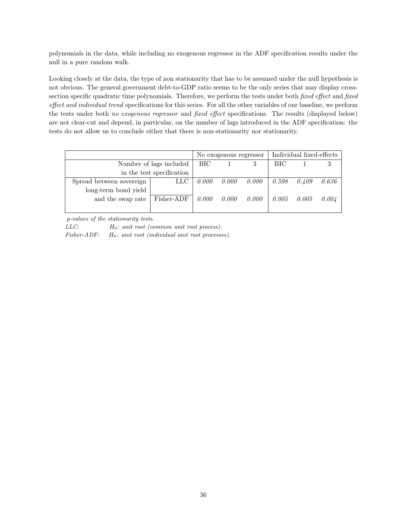polynomials in the data, while including no exogenous regressor in the ADF specification results under the null in a pure random walk.

Looking closely at the data, the type of non stationarity that has to be assumed under the null hypothesis is not obvious. The general government debt-to-GDP ratio seems to be the only series that may display crosssection specific quadratic time polynomials. Therefore, we perform the tests under both *fixed effect* and *fixed* effect and individual trend specifications for this series. For all the other variables of our baseline, we perform the tests under both no exogenous regressor and fixed effect specifications. The results (displayed below) are not clear-cut and depend, in particular, on the number of lags introduced in the ADF specification: the tests do not allow us to conclude either that there is non-stationarity nor stationarity.

|                           |                         | No exogenous regressor |       |       | Individual fixed-effects |       |       |
|---------------------------|-------------------------|------------------------|-------|-------|--------------------------|-------|-------|
|                           | Number of lags included | BIC -                  |       |       | BIC                      |       |       |
| in the test specification |                         |                        |       |       |                          |       |       |
| Spread between sovereign  | LLC                     | 0.000                  | 0.000 | 0.000 | 0.598                    | 0.409 | 0.636 |
| long-term bond yield      |                         |                        |       |       |                          |       |       |
| and the swap rate         | Fisher-ADF              | 0.000                  | 0.000 | 0.000 | 0.005                    | 0.005 | 0.004 |
|                           |                         |                        |       |       |                          |       |       |

p-values of the stationarity tests.

 $LLC:$   $H_0:$  unit root (common unit root process).

Fisher-ADF:  $H_0$ : unit root (individual unit root processes).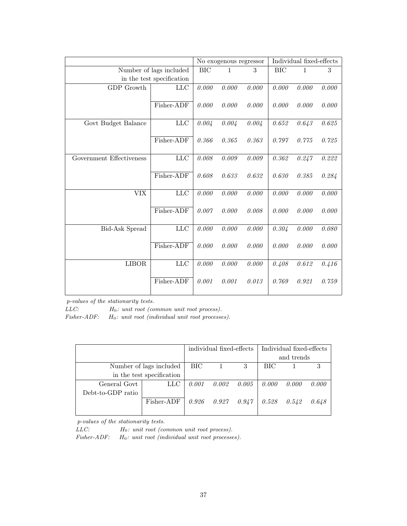|                           |             |            | No exogenous regressor |       |            | Individual fixed-effects |       |  |
|---------------------------|-------------|------------|------------------------|-------|------------|--------------------------|-------|--|
| Number of lags included   |             | <b>BIC</b> | $\mathbf{1}$           | 3     | <b>BIC</b> | $\mathbf{1}$             | 3     |  |
| in the test specification |             |            |                        |       |            |                          |       |  |
| GDP Growth                | <b>LLC</b>  | 0.000      | 0.000                  | 0.000 | 0.000      | 0.000                    | 0.000 |  |
|                           | Fisher-ADF  | 0.000      | 0.000                  | 0.000 | 0.000      | 0.000                    | 0.000 |  |
| Govt Budget Balance       | LLC         | 0.004      | 0.004                  | 0.004 | 0.652      | 0.643                    | 0.625 |  |
|                           | Fisher-ADF  | 0.366      | 0.365                  | 0.363 | 0.797      | 0.775                    | 0.725 |  |
| Government Effectiveness  | ${\rm LLC}$ | 0.008      | 0.009                  | 0.009 | 0.362      | 0.247                    | 0.222 |  |
|                           | Fisher-ADF  | 0.608      | 0.633                  | 0.632 | 0.630      | 0.385                    | 0.284 |  |
| <b>VIX</b>                | ${\rm LLC}$ | 0.000      | 0.000                  | 0.000 | 0.000      | 0.000                    | 0.000 |  |
|                           | Fisher-ADF  | 0.007      | 0.000                  | 0.008 | 0.000      | 0.000                    | 0.000 |  |
| Bid-Ask Spread            | ${\rm LLC}$ | 0.000      | 0.000                  | 0.000 | 0.304      | 0.000                    | 0.080 |  |
|                           | Fisher-ADF  | 0.000      | 0.000                  | 0.000 | 0.000      | 0.000                    | 0.000 |  |
| <b>LIBOR</b>              | ${\rm LLC}$ | 0.000      | 0.000                  | 0.000 | 0.408      | 0.612                    | 0.416 |  |
|                           | Fisher-ADF  | 0.001      | 0.001                  | 0.013 | 0.769      | 0.921                    | 0.759 |  |

p-values of the stationarity tests.

 $LLC:$   $H_0:$  unit root (common unit root process).

 ${\it Fisher-ADF:} \hspace{0.5cm} H_0: \; unit \; root \; (individual \; unit \; root \; processes).$ 

|                           |              | individual fixed-effects |                     |   | Individual fixed-effects |            |       |
|---------------------------|--------------|--------------------------|---------------------|---|--------------------------|------------|-------|
|                           |              |                          |                     |   |                          | and trends |       |
| Number of lags included   |              | BIC                      | $\overline{1}$      | 3 | BIC.                     |            |       |
| in the test specification |              |                          |                     |   |                          |            |       |
| General Govt              | $_{\rm LLC}$ | 0.001                    | $0.002 \quad 0.005$ |   | 0.000                    | 0.000      | 0.000 |
| Debt-to-GDP ratio         |              |                          |                     |   |                          |            |       |
|                           | Fisher-ADF   | 0.926                    | $0.927$ $0.947$     |   | 0.528                    | 0.542      | 0.648 |
|                           |              |                          |                     |   |                          |            |       |

p-values of the stationarity tests.

 $LLC:$   $H_0:$  unit root (common unit root process).

Fisher-ADF:  $H_0$ : unit root (individual unit root processes).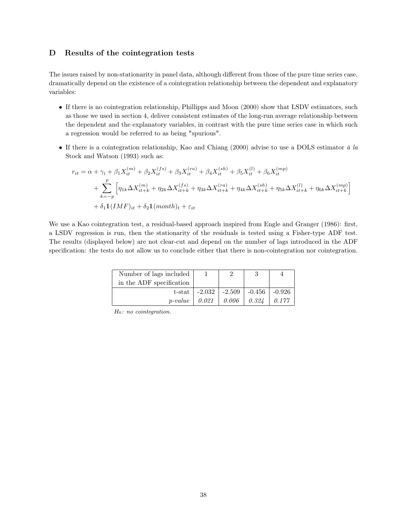#### D Results of the cointegration tests

The issues raised by non-stationarity in panel data, although different from those of the pure time series case, dramatically depend on the existence of a cointegration relationship between the dependent and explanatory variables:

- If there is no cointegration relationship, Phillipps and Moon (2000) show that LSDV estimators, such as those we used in section 4, deliver consistent estimates of the long-run average relationship between the dependent and the explanatory variables, in contrast with the pure time series case in which such a regression would be referred to as being "spurious".
- If there is a cointegration relationship, Kao and Chiang (2000) advise to use a DOLS estimator  $\dot{a} \, \dot{a}$ Stock and Watson (1993) such as:

$$
r_{it} = \alpha + \gamma_i + \beta_1 X_{it}^{(m)} + \beta_2 X_{it}^{(fs)} + \beta_3 X_{it}^{(ra)} + \beta_4 X_{it}^{(sh)} + \beta_5 X_{it}^{(l)} + \beta_6 X_{it}^{(mp)}
$$
  
+ 
$$
\sum_{k=-p}^{p} \left[ \eta_{1k} \Delta X_{it+k}^{(m)} + \eta_{2k} \Delta X_{it+k}^{(fs)} + \eta_{3k} \Delta X_{it+k}^{(ra)} + \eta_{4k} \Delta X_{it+k}^{(sh)} + \eta_{5k} \Delta X_{it+k}^{(l)} + \eta_{6k} \Delta X_{it+k}^{(mp)} \right]
$$
  
+ 
$$
\delta_1 \mathbb{1}(IMF)_{it} + \delta_2 \mathbb{1}(month)_t + \varepsilon_{it}
$$

We use a Kao cointegration test, a residual-based approach inspired from Engle and Granger (1986): first, a LSDV regression is run, then the stationarity of the residuals is tested using a Fisher-type ADF test. The results (displayed below) are not clear-cut and depend on the number of lags introduced in the ADF specification: the tests do not allow us to conclude either that there is non-cointegration nor cointegration.

| Number of lags included  |          |          |          |        |
|--------------------------|----------|----------|----------|--------|
| in the ADF specification |          |          |          |        |
| t-stat                   | $-2.032$ | $-2.509$ | $-0.456$ | -0.926 |
| $p-value$                | 0.021    | 0.006    | 0.324    | 0.177  |

 $H_0$ : no cointegration.